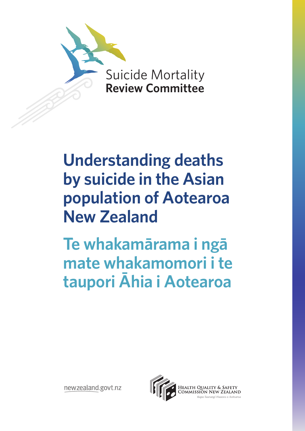

# **Understanding deaths by suicide in the Asian population of Aotearoa New Zealand**

**Te whakamārama i ngā mate whakamomori i te taupori Āhia i Aotearoa**

newzealand.govt.nz

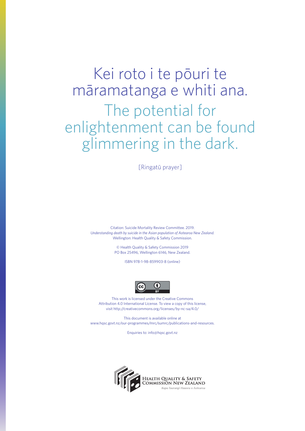# Kei roto i te pōuri te māramatanga e whiti ana. The potential for enlightenment can be found glimmering in the dark.

[Ringatū prayer]

Citation: Suicide Mortality Review Committee. 2019. *Understanding death by suicide in the Asian population of Aotearoa New Zealand.* Wellington: Health Quality & Safety Commission.

> © Health Quality & Safety Commission 2019 PO Box 25496, Wellington 6146, New Zealand.

> > ISBN 978-1-98-859903-8 (online)



This work is licensed under the Creative Commons Attribution 4.0 International License. To view a copy of this license, visit <http://creativecommons.org/licenses/by-nc-sa/4.0/>

This document is available online at <www.hqsc.govt.nz/our-programmes/mrc/sumrc/publications-and-resources>.

Enquiries to: [info@hqsc.govt.nz](mailto:info@hqsc.govt.nz)

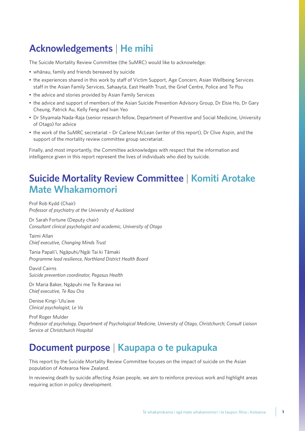## **Acknowledgements** | **He mihi**

The Suicide Mortality Review Committee (the SuMRC) would like to acknowledge:

- whānau, family and friends bereaved by suicide
- the experiences shared in this work by staff of Victim Support, Age Concern, Asian Wellbeing Services staff in the Asian Family Services, Sahaayta, East Health Trust, the Grief Centre, Police and Te Pou
- the advice and stories provided by Asian Family Services
- the advice and support of members of the Asian Suicide Prevention Advisory Group, Dr Elsie Ho, Dr Gary Cheung, Patrick Au, Kelly Feng and Ivan Yeo
- Dr Shyamala Nada-Raja (senior research fellow, Department of Preventive and Social Medicine, University of Otago) for advice
- the work of the SuMRC secretariat Dr Carlene McLean (writer of this report), Dr Clive Aspin, and the support of the mortality review committee group secretariat.

Finally, and most importantly, the Committee acknowledges with respect that the information and intelligence given in this report represent the lives of individuals who died by suicide.

## **Suicide Mortality Review Committee** | **Komiti Arotake Mate Whakamomori**

Prof Rob Kydd (Chair) *Professor of psychiatry at the University of Auckland*

Dr Sarah Fortune (Deputy chair) *Consultant clinical psychologist and academic, University of Otago*

Taimi Allan *Chief executive, Changing Minds Trust*

Tania Papali'i, Ngāpuhi/Ngāi Tai ki Tāmaki *Programme lead resilience, Northland District Health Board*

David Cairns *Suicide prevention coordinator, Pegasus Health*

Dr Maria Baker, Ngāpuhi me Te Rarawa iwi *Chief executive, Te Rau Ora* 

Denise Kingi-'Ulu'ave *Clinical psychologist, Le Va* 

Prof Roger Mulder *Professor of psychology, Department of Psychological Medicine, University of Otago, Christchurch; Consult Liaison Service at Christchurch Hospital*

## **Document purpose** | **Kaupapa o te pukapuka**

This report by the Suicide Mortality Review Committee focuses on the impact of suicide on the Asian population of Aotearoa New Zealand.

In reviewing death by suicide affecting Asian people, we aim to reinforce previous work and highlight areas requiring action in policy development.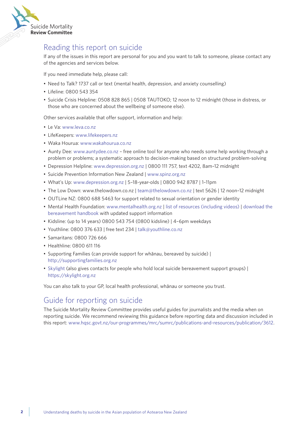

### Reading this report on suicide

If any of the issues in this report are personal for you and you want to talk to someone, please contact any of the agencies and services below.

If you need immediate help, please call:

- Need to Talk? 1737 call or text (mental health, depression, and anxiety counselling)
- Lifeline: 0800 543 354
- Suicide Crisis Helpline: 0508 828 865 | 0508 TAUTOKO; 12 noon to 12 midnight (those in distress, or those who are concerned about the wellbeing of someone else).

Other services available that offer support, information and help:

- Le Va: www.leva.co.nz
- LifeKeepers: www.lifekeepers.nz
- Waka Hourua: www.wakahourua.co.nz
- Aunty Dee: www.auntydee.co.nz free online tool for anyone who needs some help working through a problem or problems; a systematic approach to decision-making based on structured problem-solving
- Depression Helpline: www.depression.org.nz | 0800 111 757, text 4202, 8am–12 midnight
- Suicide Prevention Information New Zealand | www.spinz.org.nz
- What's Up: www.depression.org.nz | 5–18-year-olds | 0800 942 8787 | 1–11pm
- The Low Down: www.thelowdown.co.nz | team@thelowdown.co.nz | text 5626 | 12 noon–12 midnight
- OUTLine NZ: 0800 688 5463 for support related to sexual orientation or gender identity
- Mental Health Foundation: www.mentalhealth.org.nz | [list of resources \(including videos\)](https://www.mentalhealth.org.nz/get-help/a-z/resource/52/suicide-bereavement) | [download the](https://www.mentalhealth.org.nz/assets/Suicide/Bereavement-Handbook-Online-Sept.pdf)  [bereavement handbook](https://www.mentalhealth.org.nz/assets/Suicide/Bereavement-Handbook-Online-Sept.pdf) with updated support information
- Kidsline: (up to 14 years) 0800 543 754 (0800 kidsline) | 4–6pm weekdays
- Youthline: 0800 376 633 | free text 234 | talk@youthline.co.nz
- Samaritans: 0800 726 666
- Healthline: 0800 611 116
- Supporting Families (can provide support for whānau, bereaved by suicide) | http://supportingfamilies.org.nz
- [Skylight](https://www.skylight.org.nz/get-support/support-groups/support-groups) (also gives contacts for people who hold local suicide bereavement support groups) | https://skylight.org.nz

You can also talk to your GP, local health professional, whānau or someone you trust.

### Guide for reporting on suicide

The Suicide Mortality Review Committee provides useful guides for journalists and the media when on reporting suicide. We recommend reviewing this guidance before reporting data and discussion included in this report: www.hqsc.govt.nz/our-programmes/mrc/sumrc/publications-and-resources/publication/3612.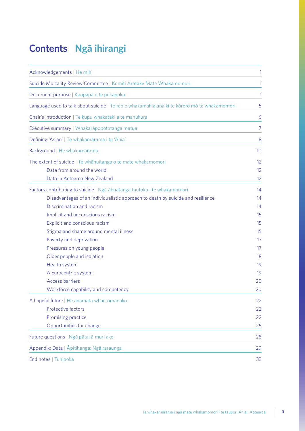## **Contents** | **Ngā ihirangi**

| Acknowledgements   He mihi                                                                   | 1  |
|----------------------------------------------------------------------------------------------|----|
| Suicide Mortality Review Committee   Komiti Arotake Mate Whakamomori                         | 1  |
| Document purpose   Kaupapa o te pukapuka                                                     | 1  |
| Language used to talk about suicide   Te reo e whakamahia ana ki te kōrero mō te whakamomori | 5  |
| Chair's introduction   Te kupu whakataki a te manukura                                       | 6  |
| Executive summary   Whakarapopototanga matua                                                 | 7  |
| Defining 'Asian'   Te whakamārama i te 'Āhia'                                                | 8  |
| Background   He whakamārama                                                                  | 10 |
| The extent of suicide   Te whānuitanga o te mate whakamomori                                 | 12 |
| Data from around the world                                                                   | 12 |
| Data in Aotearoa New Zealand                                                                 | 12 |
| Factors contributing to suicide   Ngā āhuatanga tautoko i te whakamomori                     | 14 |
| Disadvantages of an individualistic approach to death by suicide and resilience              | 14 |
| Discrimination and racism                                                                    | 14 |
| Implicit and unconscious racism                                                              | 15 |
| Explicit and conscious racism                                                                | 15 |
| Stigma and shame around mental illness                                                       | 15 |
| Poverty and deprivation                                                                      | 17 |
| Pressures on young people                                                                    | 17 |
| Older people and isolation                                                                   | 18 |
| Health system                                                                                | 19 |
| A Eurocentric system                                                                         | 19 |
| <b>Access barriers</b>                                                                       | 20 |
| Workforce capability and competency                                                          | 20 |
| A hopeful future   He anamata whai tūmanako                                                  | 22 |
| <b>Protective factors</b>                                                                    | 22 |
| Promising practice                                                                           | 22 |
| Opportunities for change                                                                     | 25 |
| Future questions   Ngā pātai ā muri ake                                                      | 28 |
| Appendix: Data   Āpitihanga: Ngā raraunga                                                    | 29 |
| End notes   Tuhipoka                                                                         | 33 |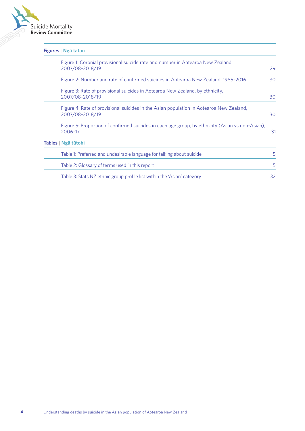

| Figures   Ngā tatau                                                                                         |    |
|-------------------------------------------------------------------------------------------------------------|----|
| Figure 1: Coronial provisional suicide rate and number in Aotearoa New Zealand,<br>2007/08-2018/19          | 29 |
| Figure 2: Number and rate of confirmed suicides in Aotearoa New Zealand, 1985-2016                          | 30 |
| Figure 3: Rate of provisional suicides in Aotearoa New Zealand, by ethnicity,<br>2007/08-2018/19            | 30 |
| Figure 4: Rate of provisional suicides in the Asian population in Aotearoa New Zealand,<br>2007/08-2018/19  | 30 |
| Figure 5: Proportion of confirmed suicides in each age group, by ethnicity (Asian vs non-Asian),<br>2006-17 | 31 |
| Tables   Ngā tūtohi                                                                                         |    |
| Table 1: Preferred and undesirable language for talking about suicide                                       | 5  |
| Table 2: Glossary of terms used in this report                                                              | 5  |
| Table 3: Stats NZ ethnic group profile list within the 'Asian' category                                     | 32 |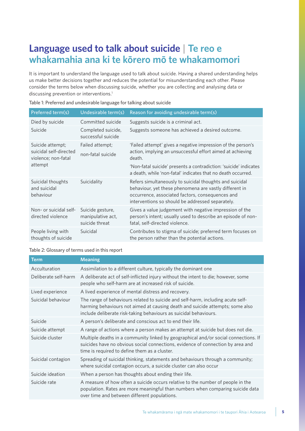### **Language used to talk about suicide** | **Te reo e whakamahia ana ki te kōrero mō te whakamomori**

It is important to understand the language used to talk about suicide. Having a shared understanding helps us make better decisions together and reduces the potential for misunderstanding each other. Please consider the terms below when discussing suicide, whether you are collecting and analysing data or discussing prevention or interventions.<sup>1</sup>

| Preferred term(s)                                                            | Undesirable term(s)                                     | Reason for avoiding undesirable term(s)                                                                                                                                                                                                                                   |
|------------------------------------------------------------------------------|---------------------------------------------------------|---------------------------------------------------------------------------------------------------------------------------------------------------------------------------------------------------------------------------------------------------------------------------|
| Died by suicide                                                              | Committed suicide                                       | Suggests suicide is a criminal act.                                                                                                                                                                                                                                       |
| Suicide                                                                      | Completed suicide,<br>successful suicide                | Suggests someone has achieved a desired outcome.                                                                                                                                                                                                                          |
| Suicide attempt;<br>suicidal self-directed<br>violence; non-fatal<br>attempt | Failed attempt;<br>non-fatal suicide                    | 'Failed attempt' gives a negative impression of the person's<br>action, implying an unsuccessful effort aimed at achieving<br>death.<br>'Non-fatal suicide' presents a contradiction: 'suicide' indicates<br>a death, while 'non-fatal' indicates that no death occurred. |
| Suicidal thoughts<br>and suicidal<br>behaviour                               | Suicidality                                             | Refers simultaneously to suicidal thoughts and suicidal<br>behaviour, yet these phenomena are vastly different in<br>occurrence, associated factors, consequences and<br>interventions so should be addressed separately.                                                 |
| Non- or suicidal self-<br>directed violence                                  | Suicide gesture,<br>manipulative act,<br>suicide threat | Gives a value judgement with negative impression of the<br>person's intent; usually used to describe an episode of non-<br>fatal, self-directed violence.                                                                                                                 |
| People living with<br>thoughts of suicide                                    | Suicidal                                                | Contributes to stigma of suicide; preferred term focuses on<br>the person rather than the potential actions.                                                                                                                                                              |

Table 1: Preferred and undesirable language for talking about suicide

Table 2: Glossary of terms used in this report

| <b>Term</b>          | <b>Meaning</b>                                                                                                                                                                                                                        |
|----------------------|---------------------------------------------------------------------------------------------------------------------------------------------------------------------------------------------------------------------------------------|
| Acculturation        | Assimilation to a different culture, typically the dominant one                                                                                                                                                                       |
| Deliberate self-harm | A deliberate act of self-inflicted injury without the intent to die; however, some<br>people who self-harm are at increased risk of suicide.                                                                                          |
| Lived experience     | A lived experience of mental distress and recovery.                                                                                                                                                                                   |
| Suicidal behaviour   | The range of behaviours related to suicide and self-harm, including acute self-<br>harming behaviours not aimed at causing death and suicide attempts; some also<br>include deliberate risk-taking behaviours as suicidal behaviours. |
| Suicide              | A person's deliberate and conscious act to end their life.                                                                                                                                                                            |
| Suicide attempt      | A range of actions where a person makes an attempt at suicide but does not die.                                                                                                                                                       |
| Suicide cluster      | Multiple deaths in a community linked by geographical and/or social connections. If<br>suicides have no obvious social connections, evidence of connection by area and<br>time is required to define them as a cluster.               |
| Suicidal contagion   | Spreading of suicidal thinking, statements and behaviours through a community;<br>where suicidal contagion occurs, a suicide cluster can also occur                                                                                   |
| Suicide ideation     | When a person has thoughts about ending their life.                                                                                                                                                                                   |
| Suicide rate         | A measure of how often a suicide occurs relative to the number of people in the<br>population. Rates are more meaningful than numbers when comparing suicide data<br>over time and between different populations.                     |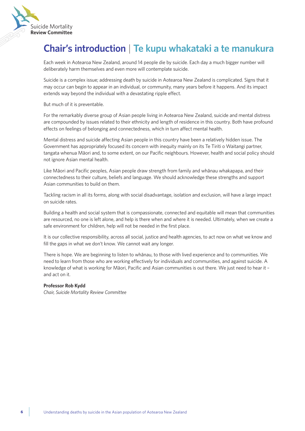

## **Chair's introduction** | **Te kupu whakataki a te manukura**

Each week in Aotearoa New Zealand, around 14 people die by suicide. Each day a much bigger number will deliberately harm themselves and even more will contemplate suicide.

Suicide is a complex issue; addressing death by suicide in Aotearoa New Zealand is complicated. Signs that it may occur can begin to appear in an individual, or community, many years before it happens. And its impact extends way beyond the individual with a devastating ripple effect.

But much of it is preventable.

For the remarkably diverse group of Asian people living in Aotearoa New Zealand, suicide and mental distress are compounded by issues related to their ethnicity and length of residence in this country. Both have profound effects on feelings of belonging and connectedness, which in turn affect mental health.

Mental distress and suicide affecting Asian people in this country have been a relatively hidden issue. The Government has appropriately focused its concern with inequity mainly on its Te Tiriti o Waitangi partner, tangata whenua Māori and, to some extent, on our Pacific neighbours. However, health and social policy should not ignore Asian mental health.

Like Māori and Pacific peoples, Asian people draw strength from family and whānau whakapapa, and their connectedness to their culture, beliefs and language. We should acknowledge these strengths and support Asian communities to build on them.

Tackling racism in all its forms, along with social disadvantage, isolation and exclusion, will have a large impact on suicide rates.

Building a health and social system that is compassionate, connected and equitable will mean that communities are resourced, no one is left alone, and help is there when and where it is needed. Ultimately, when we create a safe environment for children, help will not be needed in the first place.

It is our collective responsibility, across all social, justice and health agencies, to act now on what we know and fill the gaps in what we don't know. We cannot wait any longer.

There is hope. We are beginning to listen to whānau, to those with lived experience and to communities. We need to learn from those who are working effectively for individuals and communities, and against suicide. A knowledge of what is working for Māori, Pacific and Asian communities is out there. We just need to hear it – and act on it.

#### **Professor Rob Kydd**

*Chair, Suicide Mortality Review Committee*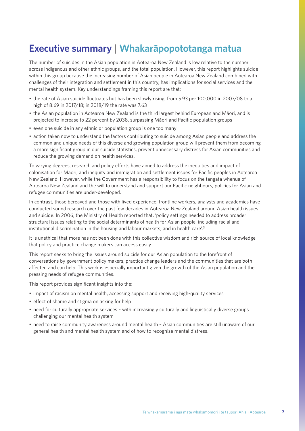## **Executive summary** | **Whakarāpopototanga matua**

The number of suicides in the Asian population in Aotearoa New Zealand is low relative to the number across indigenous and other ethnic groups, and the total population. However, this report highlights suicide within this group because the increasing number of Asian people in Aotearoa New Zealand combined with challenges of their integration and settlement in this country, has implications for social services and the mental health system. Key understandings framing this report are that:

- the rate of Asian suicide fluctuates but has been slowly rising, from 5.93 per 100,000 in 2007/08 to a high of 8.69 in 2017/18; in 2018/19 the rate was 7.63
- the Asian population in Aotearoa New Zealand is the third largest behind European and Māori, and is projected to increase to 22 percent by 2038, surpassing Māori and Pacific population groups
- even one suicide in any ethnic or population group is one too many
- action taken now to understand the factors contributing to suicide among Asian people and address the common and unique needs of this diverse and growing population group will prevent them from becoming a more significant group in our suicide statistics, prevent unnecessary distress for Asian communities and reduce the growing demand on health services.

To varying degrees, research and policy efforts have aimed to address the inequities and impact of colonisation for Māori, and inequity and immigration and settlement issues for Pacific peoples in Aotearoa New Zealand. However, while the Government has a responsibility to focus on the tangata whenua of Aotearoa New Zealand and the will to understand and support our Pacific neighbours, policies for Asian and refugee communities are under-developed.

In contrast, those bereaved and those with lived experience, frontline workers, analysts and academics have conducted sound research over the past few decades in Aotearoa New Zealand around Asian health issues and suicide. In 2006, the Ministry of Health reported that, 'policy settings needed to address broader structural issues relating to the social determinants of health for Asian people, including racial and institutional discrimination in the housing and labour markets, and in health care'.<sup>3</sup>

It is unethical that more has not been done with this collective wisdom and rich source of local knowledge that policy and practice change makers can access easily.

This report seeks to bring the issues around suicide for our Asian population to the forefront of conversations by government policy makers, practice change leaders and the communities that are both affected and can help. This work is especially important given the growth of the Asian population and the pressing needs of refugee communities.

This report provides significant insights into the:

- impact of racism on mental health, accessing support and receiving high-quality services
- effect of shame and stigma on asking for help
- need for culturally appropriate services with increasingly culturally and linguistically diverse groups challenging our mental health system
- need to raise community awareness around mental health Asian communities are still unaware of our general health and mental health system and of how to recognise mental distress.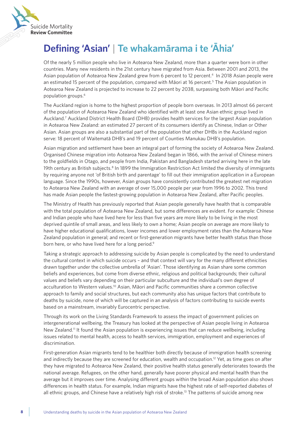

## **Defining 'Asian'** | **Te whakamārama i te 'Āhia'**

Of the nearly 5 million people who live in Aotearoa New Zealand, more than a quarter were born in other countries. Many new residents in the 21st century have migrated from Asia. Between 2001 and 2013, the Asian population of Aotearoa New Zealand grew from 6 percent to 12 percent.<sup>4</sup> In 2018 Asian people were an estimated 15 percent of the population, compared with Māori at 16 percent.<sup>5</sup> The Asian population in Aotearoa New Zealand is projected to increase to 22 percent by 2038, surpassing both Māori and Pacific population groups.6

The Auckland region is home to the highest proportion of people born overseas. In 2013 almost 66 percent of the population of Aotearoa New Zealand who identified with at least one Asian ethnic group lived in Auckland.<sup>7</sup> Auckland District Health Board (DHB) provides health services for the largest Asian population in Aotearoa New Zealand: an estimated 27 percent of its consumers identify as Chinese, Indian or Other Asian. Asian groups are also a substantial part of the population that other DHBs in the Auckland region serve: 18 percent of Waitematā DHB's and 19 percent of Counties Manukau DHB's population.

Asian migration and settlement have been an integral part of forming the society of Aotearoa New Zealand. Organised Chinese migration into Aotearoa New Zealand began in 1866, with the arrival of Chinese miners to the goldfields in Otago, and people from India, Pakistan and Bangladesh started arriving here in the late 19th century as British subjects.<sup>8</sup> In 1899 the Immigration Restriction Act limited the diversity of immigrants by requiring anyone not 'of British birth and parentage' to fill out their immigration application in a European language. Since the 1990s, however, Asian groups have consistently contributed the greatest net migration to Aotearoa New Zealand with an average of over 15,000 people per year from 1996 to 2002. This trend has made Asian people the fastest-growing population in Aotearoa New Zealand, after Pacific peoples.

The Ministry of Health has previously reported that Asian people generally have health that is comparable with the total population of Aotearoa New Zealand, but some differences are evident. For example: Chinese and Indian people who have lived here for less than five years are more likely to be living in the most deprived quintile of small areas, and less likely to own a home; Asian people on average are more likely to have higher educational qualifications, lower incomes and lower employment rates than the Aotearoa New Zealand population in general; and recent or first-generation migrants have better health status than those born here, or who have lived here for a long period.<sup>9</sup>

Taking a strategic approach to addressing suicide by Asian people is complicated by the need to understand the cultural context in which suicide occurs – and that context will vary for the many different ethnicities drawn together under the collective umbrella of 'Asian'. Those identifying as Asian share some common beliefs and experiences, but come from diverse ethnic, religious and political backgrounds; their cultural values and beliefs vary depending on their particular subculture and the individual's own degree of acculturation to Western values.10 Asian, Māori and Pacific communities share a common collective approach to family and social structures, but each community also has unique factors that contribute to deaths by suicide, none of which will be captured in an analysis of factors contributing to suicide events based on a mainstream, invariably Eurocentric perspective.

Through its work on the Living Standards Framework to assess the impact of government policies on intergenerational wellbeing, the Treasury has looked at the perspective of Asian people living in Aotearoa New Zealand.<sup>11</sup> It found the Asian population is experiencing issues that can reduce wellbeing, including issues related to mental health, access to health services, immigration, employment and experiences of discrimination.

First-generation Asian migrants tend to be healthier both directly because of immigration health screening and indirectly because they are screened for education, wealth and occupation.<sup>12</sup> Yet, as time goes on after they have migrated to Aotearoa New Zealand, their positive health status generally deteriorates towards the national average. Refugees, on the other hand, generally have poorer physical and mental health than the average but it improves over time. Analysing different groups within the broad Asian population also shows differences in health status. For example, Indian migrants have the highest rate of self-reported diabetes of all ethnic groups, and Chinese have a relatively high risk of stroke.<sup>13</sup> The patterns of suicide among new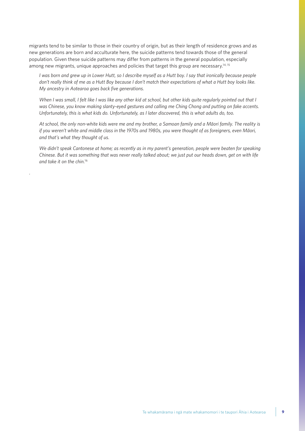migrants tend to be similar to those in their country of origin, but as their length of residence grows and as new generations are born and acculturate here, the suicide patterns tend towards those of the general population. Given these suicide patterns may differ from patterns in the general population, especially among new migrants, unique approaches and policies that target this group are necessary.<sup>14, 15</sup>

*I was born and grew up in Lower Hutt, so I describe myself as a Hutt boy. I say that ironically because people don't really think of me as a Hutt Boy because I don't match their expectations of what a Hutt boy looks like. My ancestry in Aotearoa goes back five generations.*

*When I was small, I felt like I was like any other kid at school, but other kids quite regularly pointed out that I was Chinese, you know making slanty-eyed gestures and calling me Ching Chong and putting on fake accents. Unfortunately, this is what kids do. Unfortunately, as I later discovered, this is what adults do, too.*

*At school, the only non-white kids were me and my brother, a Samoan family and a Māori family. The reality is if you weren't white and middle class in the 1970s and 1980s, you were thought of as foreigners, even Māori, and that's what they thought of us.* 

*We didn't speak Cantonese at home; as recently as in my parent's generation, people were beaten for speaking Chinese. But it was something that was never really talked about; we just put our heads down, get on with life and take it on the chin.*<sup>16</sup>

.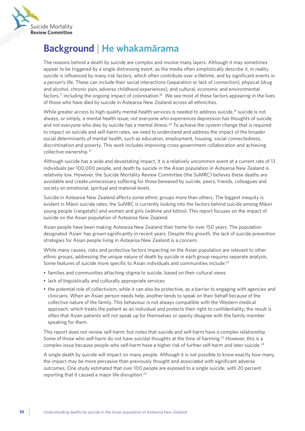

### **Background** | **He whakamārama**

The reasons behind a death by suicide are complex and involve many layers. Although it may sometimes appear to be triggered by a single distressing event, as the media often simplistically describe it, in reality suicide is influenced by many risk factors, which often contribute over a lifetime, and by significant events in a person's life. These can include their social interactions (separation or lack of connection), physical (drug and alcohol, chronic pain, adverse childhood experiences), and cultural, economic and environmental factors,<sup>17</sup> including the ongoing impact of colonisation.<sup>18</sup> We see most of these factors appearing in the lives of those who have died by suicide in Aotearoa New Zealand across all ethnicities.

While greater access to high-quality mental health services is needed to address suicide,<sup>19</sup> suicide is not always, or simply, a mental health issue; not everyone who experiences depression has thoughts of suicide, and not everyone who dies by suicide has a mental illness.<sup>20</sup> To achieve the system change that is required to impact on suicide and self-harm rates, we need to understand and address the impact of the broader social determinants of mental health, such as education, employment, housing, social connectedness, discrimination and poverty. This work includes improving cross-government collaboration and achieving collective ownership.<sup>21</sup>

Although suicide has a wide and devastating impact, it is a relatively uncommon event at a current rate of 13 individuals per 100,000 people, and death by suicide in the Asian population in Aotearoa New Zealand is relatively low. However, the Suicide Mortality Review Committee (the SuMRC) believes these deaths are avoidable and create unnecessary suffering for those bereaved by suicide, peers, friends, colleagues and society on emotional, spiritual and material levels.

Suicide in Aotearoa New Zealand affects some ethnic groups more than others. The biggest inequity is evident in Māori suicide rates; the SuMRC is currently looking into the factors behind suicide among Māori young people (rangatahi) and women and girls (wāhine and kōtiro). This report focuses on the impact of suicide on the Asian population of Aotearoa New Zealand.

Asian people have been making Aotearoa New Zealand their home for over 150 years. The population designated 'Asian' has grown significantly in recent years. Despite this growth, the lack of suicide prevention strategies for Asian people living in Aotearoa New Zealand is a concern.

While many causes, risks and protective factors impacting on the Asian population are relevant to other ethnic groups, addressing the unique nature of death by suicide in each group requires separate analysis. Some features of suicide more specific to Asian individuals and communities include:<sup>22</sup>

- families and communities attaching stigma to suicide, based on their cultural views
- lack of linguistically and culturally appropriate services
- the potential role of collectivism, while it can also be protective, as a barrier to engaging with agencies and clinicians. When an Asian person needs help, another tends to speak on their behalf because of the collective nature of the family. This behaviour is not always compatible with the Western medical approach, which treats the patient as an individual and protects their right to confidentiality; the result is often that Asian patients will not speak up for themselves or openly disagree with the family member speaking for them.

This report does not review self-harm; but notes that suicide and self-harm have a complex relationship. Some of those who self-harm do not have suicidal thoughts at the time of harming.<sup>23</sup> However, this is a complex issue because people who self-harm have a higher risk of further self-harm and later suicide.<sup>24</sup>

A single death by suicide will impact on many people. Although it is not possible to know exactly how many, the impact may be more pervasive than previously thought and associated with significant adverse outcomes. One study estimated that over 100 people are exposed to a single suicide, with 20 percent reporting that it caused a major life disruption.<sup>25</sup>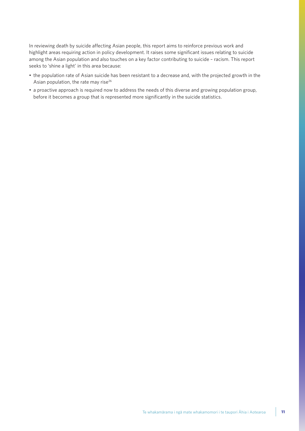In reviewing death by suicide affecting Asian people, this report aims to reinforce previous work and highlight areas requiring action in policy development. It raises some significant issues relating to suicide among the Asian population and also touches on a key factor contributing to suicide – racism. This report seeks to 'shine a light' in this area because:

- the population rate of Asian suicide has been resistant to a decrease and, with the projected growth in the Asian population, the rate may rise<sup>26</sup>
- a proactive approach is required now to address the needs of this diverse and growing population group, before it becomes a group that is represented more significantly in the suicide statistics.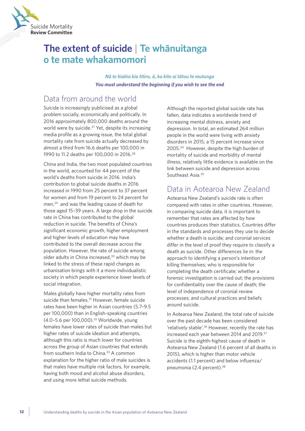

## **The extent of suicide** | **Te whānuitanga o te mate whakamomori**

*Nā te hiahia kia titiro, ā, ka kite ai tātou te mutunga You must understand the beginning if you wish to see the end*

#### Data from around the world

Suicide is increasingly publicised as a global problem socially, economically and politically. In 2016 approximately 800,000 deaths around the world were by suicide.<sup>27</sup> Yet, despite its increasing media profile as a growing issue, the total global mortality rate from suicide actually decreased by almost a third from 16.6 deaths per 100,000 in 1990 to 11.2 deaths per 100,000 in 2016.28

China and India, the two most populated countries in the world, accounted for 44 percent of the world's deaths from suicide in 2016. India's contribution to global suicide deaths in 2016 increased in 1990 from 25 percent to 37 percent for women and from 19 percent to 24 percent for men,<sup>29</sup> and was the leading cause of death for those aged 15–39 years. A large drop in the suicide rate in China has contributed to the global reduction in suicide. The benefits of China's significant economic growth, higher employment and higher levels of education may have contributed to the overall decrease across the population. However, the rate of suicide among older adults in China increased,<sup>30</sup> which may be linked to the stress of these rapid changes as urbanisation brings with it a more individualistic society in which people experience lower levels of social integration.

Males globally have higher mortality rates from suicide than females.<sup>31</sup> However, female suicide rates have been higher in Asian countries (5.7–9.5 per 100,000) than in English-speaking countries (4.0–5.6 per 100,000).32 Worldwide, young females have lower rates of suicide than males but higher rates of suicide ideation and attempts, although this ratio is much lower for countries across the group of Asian countries that extends from southern India to China.<sup>33</sup> A common explanation for the higher ratio of male suicides is that males have multiple risk factors, for example, having both mood and alcohol abuse disorders, and using more lethal suicide methods.

Although the reported global suicide rate has fallen, data indicates a worldwide trend of increasing mental distress, anxiety and depression. In total, an estimated 264 million people in the world were living with anxiety disorders in 2015, a 15 percent increase since 2005.<sup>34</sup> However, despite the high burden of mortality of suicide and morbidity of mental illness, relatively little evidence is available on the link between suicide and depression across Southeast Asia.<sup>35</sup>

### Data in Aotearoa New Zealand

Aotearoa New Zealand's suicide rate is often compared with rates in other countries. However, in comparing suicide data, it is important to remember that rates are affected by how countries produces their statistics. Countries differ in the standards and processes they use to decide whether a death is suicide; and coronial services differ in the level of proof they require to classify a death as suicide. Other differences lie in: the approach to identifying a person's intention of killing themselves; who is responsible for completing the death certificate; whether a forensic investigation is carried out; the provisions for confidentiality over the cause of death; the level of independence of coronial review processes; and cultural practices and beliefs around suicide.

In Aotearoa New Zealand, the total rate of suicide over the past decade has been considered 'relatively stable'.36 However, recently the rate has increased each year between 2014 and 2019.37 Suicide is the eighth-highest cause of death in Aotearoa New Zealand (1.6 percent of all deaths in 2015), which is higher than motor vehicle accidents (1.1 percent) and below influenza/ pneumonia (2.4 percent).38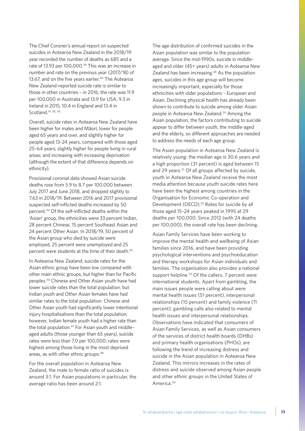The Chief Coroner's annual report on suspected suicides in Aotearoa New Zealand in the 2018/19 year recorded the number of deaths as 685 and a rate of 13.93 per 100,000.<sup>39</sup> This was an increase in number and rate on the previous year (2017/18) of 13.67, and on the five years earlier.<sup>40</sup> The Aotearoa New Zealand-reported suicide rate is similar to those in other countries – in 2016, the rate was 11.9 per 100,000 in Australia and 13.9 for USA, 9.3 in Ireland in 2015, 10.4 in England and 13.4 in Scotland.<sup>41, 42, 43</sup>

Overall, suicide rates in Aotearoa New Zealand have been higher for males and Māori; lower for people aged 65 years and over, and slightly higher for people aged 13–24 years, compared with those aged 25–64 years; slightly higher for people living in rural areas; and increasing with increasing deprivation (although the extent of that difference depends on ethnicity).

Provisional coronial data showed Asian suicide deaths rose from 5.9 to 8.7 per 100,000 between July 2017 and June 2018, and dropped slightly to 7.63 in 2018/19. Between 2016 and 2017 provisional suspected self-inflicted deaths increased by 50 percent.44 Of the self-inflicted deaths within the 'Asian' group, the ethnicities were 33 percent Indian, 28 percent Chinese, 15 percent Southeast Asian and 24 percent Other Asian. In 2018/19, 50 percent of the Asian group who died by suicide were employed, 25 percent were unemployed and 25 percent were students at the time of their death.45

In Aotearoa New Zealand, suicide rates for the Asian ethnic group have been low compared with other main ethnic groups, but higher than for Pacific peoples.46 Chinese and Other Asian youth have had lower suicide rates than the total population, but Indian youth and Other Asian females have had similar rates to the total population. Chinese and Other Asian youth had significantly lower intentional injury hospitalisations than the total population; however, Indian female youth had a higher rate than the total population.<sup>47</sup> For Asian youth and middleaged adults (those younger than 65 years), suicide rates were less than 7.0 per 100,000; rates were highest among those living in the most deprived areas, as with other ethnic groups.48

For the overall population in Aotearoa New Zealand, the male to female ratio of suicides is around 3:1. For Asian populations in particular, the average ratio has been around 2:1.

The age distribution of confirmed suicides in the Asian population was similar to the population average. Since the mid-1990s, suicide in middleaged and older (45+ years) adults in Aotearoa New Zealand has been increasing.49 As the population ages, suicides in this age group will become increasingly important, especially for those ethnicities with older populations – European and Asian. Declining physical health has already been shown to contribute to suicide among older Asian people in Aotearoa New Zealand.<sup>50</sup> Among the Asian population, the factors contributing to suicide appear to differ between youth, the middle-aged and the elderly, so different approaches are needed to address the needs of each age group.

The Asian population in Aotearoa New Zealand is relatively young: the median age is 30.6 years and a high proportion (31 percent) is aged between 15 and 29 years.<sup>51</sup> Of all groups affected by suicide, youth in Aotearoa New Zealand receive the most media attention because youth suicide rates here have been the highest among countries in the Organisation for Economic Co-operation and Development (OECD).52 Rates for suicide by all those aged 15–24 years peaked in 1995 at 29 deaths per 100,000. Since 2012 (with 24 deaths per 100,000), the overall rate has been declining.

Asian Family Services have been working to improve the mental health and wellbeing of Asian families since 2016, and have been providing psychological interventions and psychoeducation and therapy workshops for Asian individuals and families. The organisation also provides a national support helpline.<sup>53</sup> Of the callers, 7 percent were international students. Apart from gambling, the main issues people were calling about were mental health issues (51 percent), interpersonal relationships (15 percent) and family violence (11 percent); gambling calls also related to mental health issues and interpersonal relationships. Observations have indicated that consumers of Asian Family Services, as well as Asian consumers of the services of district health boards (DHBs) and primary health organisations (PHOs), are following the trend of increasing distress and suicide in the Asian population in Aotearoa New Zealand. This mirrors increases in the rates of distress and suicide observed among Asian people and other ethnic groups in the United States of America.<sup>54</sup>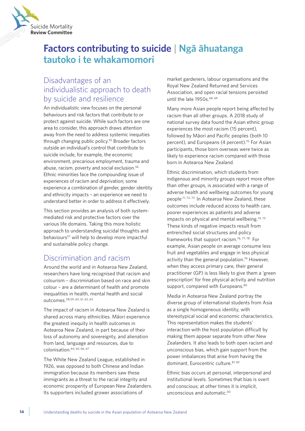

### **Factors contributing to suicide** | **Ngā āhuatanga tautoko i te whakamomori**

#### Disadvantages of an individualistic approach to death by suicide and resilience

An individualistic view focuses on the personal behaviours and risk factors that contribute to or protect against suicide. While such factors are one area to consider, this approach draws attention away from the need to address systemic inequities through changing public policy.<sup>55</sup> Broader factors outside an individual's control that contribute to suicide include, for example, the economic environment, precarious employment, trauma and abuse, racism, poverty and social exclusion.<sup>56</sup> Ethnic minorities face the compounding issue of experiences of racism and deprivation; some experience a combination of gender, gender identity and ethnicity impacts – an experience we need to understand better in order to address it effectively.

This section provides an analysis of both systemmediated risk and protective factors over the various life domains. Taking this more holistic approach to understanding suicidal thoughts and behaviours<sup>57</sup> will help to develop more impactful and sustainable policy change.

### Discrimination and racism

Around the world and in Aotearoa New Zealand, researchers have long recognised that racism and colourism – discrimination based on race and skin colour – are a determinant of health and promote inequalities in health, mental health and social outcomes.58,59 ,60, 61, 62, 63

The impact of racism in Aotearoa New Zealand is shared across many ethnicities. Māori experience the greatest inequity in health outcomes in Aotearoa New Zealand, in part because of their loss of autonomy and sovereignty, and alienation from land, language and resources, due to colonisation.<sup>64, 65, 66, 67</sup>

The White New Zealand League, established in 1926, was opposed to both Chinese and Indian immigration because its members saw these immigrants as a threat to the racial integrity and economic prosperity of European New Zealanders. Its supporters included grower associations of

market gardeners, labour organisations and the Royal New Zealand Returned and Services Association, and open racial tensions persisted until the late 1950s.<sup>68, 69</sup>

Many more Asian people report being affected by racism than all other groups. A 2018 study of national survey data found the Asian ethnic group experiences the most racism (15 percent), followed by Māori and Pacific peoples (both 10 percent), and Europeans (4 percent).<sup>70</sup> For Asian participants, those born overseas were twice as likely to experience racism compared with those born in Aotearoa New Zealand.

Ethnic discrimination, which students from indigenous and minority groups report more often than other groups, is associated with a range of adverse health and wellbeing outcomes for young people.71, 72, 73 In Aotearoa New Zealand, these outcomes include reduced access to health care, poorer experiences as patients and adverse impacts on physical and mental wellbeing.<sup>74,75</sup> These kinds of negative impacts result from entrenched social structures and policy frameworks that support racism.<sup>76, 77, 78</sup> For example, Asian people on average consume less fruit and vegetables and engage in less physical activity than the general population.<sup>79</sup> However, when they access primary care, their general practitioner (GP) is less likely to give them a 'green prescription' for free physical activity and nutrition support, compared with Europeans.<sup>80</sup>

Media in Aotearoa New Zealand portray the diverse group of international students from Asia as a single homogeneous identity, with stereotypical social and economic characteristics. This representation makes the students' interaction with the host population difficult by making them appear separate from other New Zealanders. It also leads to both open racism and unconscious bias, which gain support from the power imbalances that arise from having the dominant, Eurocentric culture. 81, 82

Ethnic bias occurs at personal, interpersonal and institutional levels. Sometimes that bias is overt and conscious; at other times it is implicit, unconscious and automatic.<sup>83</sup>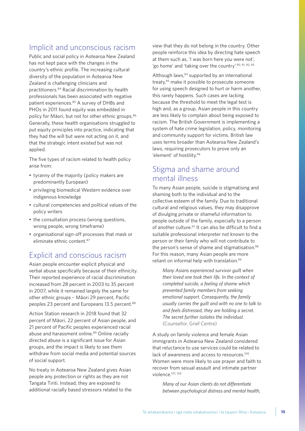### Implicit and unconscious racism

Public and social policy in Aotearoa New Zealand has not kept pace with the changes in the country's ethnic profile. The increasing cultural diversity of the population in Aotearoa New Zealand is challenging clinicians and practitioners.84 Racial discrimination by health professionals has been associated with negative patient experiences.<sup>85</sup> A survey of DHBs and PHOs in 2011 found equity was embedded in policy for Māori, but not for other ethnic groups.<sup>86</sup> Generally, these health organisations struggled to put equity principles into practice, indicating that they had the will but were not acting on it, and that the strategic intent existed but was not applied.

The five types of racism related to health policy arise from:

- tyranny of the majority (policy makers are predominantly European)
- privileging biomedical Western evidence over indigenous knowledge
- cultural competencies and political values of the policy writers
- the consultation process (wrong questions, wrong people, wrong timeframe)
- organisational sign-off processes that mask or eliminate ethnic content.87

### Explicit and conscious racism

Asian people encounter explicit physical and verbal abuse specifically because of their ethnicity. Their reported experience of racial discrimination increased from 28 percent in 2003 to 35 percent in 2007, while it remained largely the same for other ethnic groups – Māori 29 percent, Pacific peoples 23 percent and Europeans 13.5 percent.<sup>88</sup>

Action Station research in 2018 found that 32 percent of Māori, 22 percent of Asian people, and 21 percent of Pacific peoples experienced racial abuse and harassment online.<sup>89</sup> Online racially directed abuse is a significant issue for Asian groups, and the impact is likely to see them withdraw from social media and potential sources of social support.

No treaty in Aotearoa New Zealand gives Asian people any protection or rights as they are not Tangata Tiriti. Instead, they are exposed to additional racially based stressors related to the view that they do not belong in the country. Other people reinforce this idea by directing hate speech at them such as, 'I was born here you were not', 'go home' and 'taking over the country'.90, 91, 92, 93

Although laws, $94$  supported by an international treaty,<sup>95</sup> make it possible to prosecute someone for using speech designed to hurt or harm another, this rarely happens. Such cases are lacking because the threshold to meet the legal test is high and, as a group, Asian people in this country are less likely to complain about being exposed to racism. The British Government is implementing a system of hate crime legislation, policy, monitoring and community support for victims. British law uses terms broader than Aotearoa New Zealand's laws, requiring prosecutors to prove only an 'element' of hostility.96

### Stigma and shame around mental illness

To many Asian people, suicide is stigmatising and shaming both to the individual and to the collective esteem of the family. Due to traditional cultural and religious values, they may disapprove of divulging private or shameful information to people outside of the family, especially to a person of another culture.<sup>97</sup> It can also be difficult to find a suitable professional interpreter not known to the person or their family who will not contribute to the person's sense of shame and stigmatisation.<sup>98</sup> For this reason, many Asian people are more reliant on informal help with translation.<sup>99</sup>

*Many Asians experienced survivor guilt when their loved one took their life. In the context of completed suicide, a feeling of shame which prevented family members from seeking emotional support. Consequently, the family usually carries the guilt and with no one to talk to and feels distressed, they are holding a secret. The secret further isolates the individual.* (Counsellor, Grief Centre)

A study on family violence and female Asian immigrants in Aotearoa New Zealand considered that reluctance to use services could be related to lack of awareness and access to resources.<sup>100</sup> Women were more likely to use prayer and faith to recover from sexual assault and intimate partner violence.101, 102

*Many of our Asian clients do not differentiate between psychological distress and mental health,*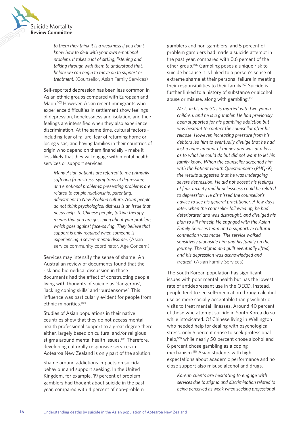

*to them they think it is a weakness if you don't know how to deal with your own emotional problem. It takes a lot of sitting, listening and talking through with them to understand that, before we can begin to move on to support or treatment.* (Counsellor, Asian Family Services)

Self-reported depression has been less common in Asian ethnic groups compared with European and Māori.<sup>103</sup> However, Asian recent immigrants who experience difficulties in settlement show feelings of depression, hopelessness and isolation, and their feelings are intensified when they also experience discrimination. At the same time, cultural factors – including fear of failure, fear of returning home or losing visas, and having families in their countries of origin who depend on them financially – make it less likely that they will engage with mental health services or support services.

*Many Asian patients are referred to me primarily suffering from stress, symptoms of depression; and emotional problems; presenting problems are related to couple relationship, parenting, adjustment to New Zealand culture. Asian people do not think psychological distress is an issue that needs help. To Chinese people, talking therapy means that you are gossiping about your problem, which goes against face-saving. They believe that support is only required when someone is experiencing a severe mental disorder.* (Asian service community coordinator, Age Concern)

Services may intensify the sense of shame. An Australian review of documents found that the risk and biomedical discussion in those documents had the effect of constructing people living with thoughts of suicide as 'dangerous', 'lacking coping skills' and 'burdensome'. This influence was particularly evident for people from ethnic minorities.104

Studies of Asian populations in their native countries show that they do not access mental health professional support to a great degree there either, largely based on cultural and/or religious stigma around mental health issues.<sup>105</sup> Therefore, developing culturally responsive services in Aotearoa New Zealand is only part of the solution.

Shame around addictions impacts on suicidal behaviour and support seeking. In the United Kingdom, for example, 19 percent of problem gamblers had thought about suicide in the past year, compared with 4 percent of non-problem

gamblers and non-gamblers, and 5 percent of problem gamblers had made a suicide attempt in the past year, compared with 0.6 percent of the other group.106 Gambling poses a unique risk to suicide because it is linked to a person's sense of extreme shame at their personal failure in meeting their responsibilities to their family.107 Suicide is further linked to a history of substance or alcohol abuse or misuse, along with gambling.108

*Mr L, in his mid-30s is married with two young children, and he is a gambler. He had previously been supported for his gambling addiction but was hesitant to contact the counsellor after his relapse. However, increasing pressure from his debtors led him to eventually divulge that he had lost a huge amount of money and was at a loss as to what he could do but did not want to let his family know. When the counsellor screened him with the Patient Health Questionnaire (PHQ-9), the results suggested that he was undergoing severe depression. He did not accept his feelings of fear, anxiety and hopelessness could be related to depression. He dismissed the counsellor's advice to see his general practitioner. A few days later, when the counsellor followed up, he had deteriorated and was distraught, and divulged his plan to kill himself. He engaged with the Asian Family Services team and a supportive cultural connection was made. The service walked sensitively alongside him and his family on the journey. The stigma and guilt eventually lifted, and his depression was acknowledged and treated.* (Asian Family Services)

The South Korean population has significant issues with poor mental health but has the lowest rate of antidepressant use in the OECD. Instead, people tend to see self-medication through alcohol use as more socially acceptable than psychiatric visits to treat mental illnesses. Around 40 percent of those who attempt suicide in South Korea do so while intoxicated. Of Chinese living in Wellington who needed help for dealing with psychological stress, only 5 percent chose to seek professional help,<sup>109</sup> while nearly 50 percent chose alcohol and 8 percent chose gambling as a coping mechanism.110 Asian students with high expectations about academic performance and no close support also misuse alcohol and drugs.

*Korean clients are hesitating to engage with services due to stigma and discrimination related to being perceived as weak when seeking professional*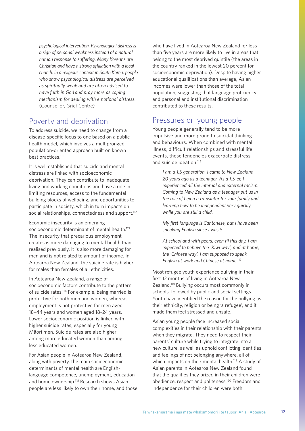*psychological intervention. Psychological distress is a sign of personal weakness instead of a natural human response to suffering. Many Koreans are Christian and have a strong affiliation with a local church. In a religious context in South Korea, people who show psychological distress are perceived as spiritually weak and are often advised to have faith in God and pray more as coping mechanism for dealing with emotional distress.*  (Counsellor, Grief Centre)

### Poverty and deprivation

To address suicide, we need to change from a disease-specific focus to one based on a public health model, which involves a multipronged, population-oriented approach built on known best practices.<sup>111</sup>

It is well established that suicide and mental distress are linked with socioeconomic deprivation. They can contribute to inadequate living and working conditions and have a role in limiting resources, access to the fundamental building blocks of wellbeing, and opportunities to participate in society, which in turn impacts on social relationships, connectedness and support.<sup>112</sup>

Economic insecurity is an emerging socioeconomic determinant of mental health.<sup>113</sup> The insecurity that precarious employment creates is more damaging to mental health than realised previously. It is also more damaging for men and is not related to amount of income. In Aotearoa New Zealand, the suicide rate is higher for males than females of all ethnicities.

In Aotearoa New Zealand, a range of socioeconomic factors contribute to the pattern of suicide rates.<sup>114</sup> For example, being married is protective for both men and women, whereas employment is not protective for men aged 18–44 years and women aged 18–24 years. Lower socioeconomic position is linked with higher suicide rates, especially for young Māori men. Suicide rates are also higher among more educated women than among less educated women.

For Asian people in Aotearoa New Zealand, along with poverty, the main socioeconomic determinants of mental health are Englishlanguage competence, unemployment, education and home ownership.<sup>115</sup> Research shows Asian people are less likely to own their home, and those who have lived in Aotearoa New Zealand for less than five years are more likely to live in areas that belong to the most deprived quintile (the areas in the country ranked in the lowest 20 percent for socioeconomic deprivation). Despite having higher educational qualifications than average, Asian incomes were lower than those of the total population, suggesting that language proficiency and personal and institutional discrimination contributed to these results.

#### Pressures on young people

Young people generally tend to be more impulsive and more prone to suicidal thinking and behaviours. When combined with mental illness, difficult relationships and stressful life events, those tendencies exacerbate distress and suicide ideation.<sup>116</sup>

*I am a 1.5 generation. I came to New Zealand 20 years ago as a teenager. As a 1.5-er, I experienced all the internal and external racism. Coming to New Zealand as a teenager put us in the role of being a translator for your family and learning how to be independent very quickly while you are still a child.*

*My first language is Cantonese, but I have been speaking English since I was 5.*

*At school and with peers, even til this day, I am expected to behave the 'Kiwi way', and at home, the 'Chinese way'. I am supposed to speak English at work and Chinese at home.*<sup>117</sup>

Most refugee youth experience bullying in their first 12 months of living in Aotearoa New Zealand.118 Bullying occurs most commonly in schools, followed by public and social settings. Youth have identified the reason for the bullying as their ethnicity, religion or being 'a refugee', and it made them feel stressed and unsafe.

Asian young people face increased social complexities in their relationship with their parents when they migrate. They need to respect their parents' culture while trying to integrate into a new culture, as well as uphold conflicting identities and feelings of not belonging anywhere, all of which impacts on their mental health.<sup>119</sup> A study of Asian parents in Aotearoa New Zealand found that the qualities they prized in their children were obedience, respect and politeness.120 Freedom and independence for their children were both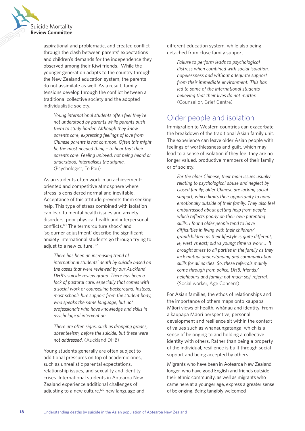

aspirational and problematic, and created conflict through the clash between parents' expectations and children's demands for the independence they observed among their Kiwi friends. While the younger generation adapts to the country through the New Zealand education system, the parents do not assimilate as well. As a result, family tensions develop through the conflict between a traditional collective society and the adopted individualistic society.

*Young international students often feel they're not understood by parents while parents push them to study harder. Although they know parents care, expressing feelings of love from Chinese parents is not common. Often this might be the most needed thing – to hear that their parents care. Feeling unloved, not being heard or understood, internalises the stigma.* (Psychologist, Te Pou)

Asian students often work in an achievementoriented and competitive atmosphere where stress is considered normal and inevitable. Acceptance of this attitude prevents them seeking help. This type of stress combined with isolation can lead to mental health issues and anxiety disorders, poor physical health and interpersonal conflicts.121 The terms 'culture shock' and 'sojourner adjustment' describe the significant anxiety international students go through trying to adjust to a new culture.<sup>122</sup>

*There has been an increasing trend of international students' death by suicide based on the cases that were reviewed by our Auckland DHB's suicide review group. There has been a lack of pastoral care, especially that comes with a social work or counselling background. Instead, most schools hire support from the student body, who speaks the same language, but not professionals who have knowledge and skills in psychological intervention.* 

*There are often signs, such as dropping grades, absenteeism, before the suicide, but these were not addressed.* (Auckland DHB)

Young students generally are often subject to additional pressures on top of academic ones, such as unrealistic parental expectations, relationship issues, and sexuality and identity crises. International students in Aotearoa New Zealand experience additional challenges of adjusting to a new culture, $122$  new language and different education system, while also being detached from close family support.

> *Failure to perform leads to psychological distress when combined with social isolation, hopelessness and without adequate support from their immediate environment. This has led to some of the international students believing that their lives do not matter.* (Counsellor, Grief Centre)

### Older people and isolation

Immigration to Western countries can exacerbate the breakdown of the traditional Asian family unit. The experience can leave older Asian people with feelings of worthlessness and guilt, which may lead to a sense of isolation if they feel they are no longer valued, productive members of their family or of society.

*For the older Chinese, their main issues usually relating to psychological abuse and neglect by closed family; older Chinese are lacking social support, which limits their opportunity to bond emotionally outside of their family. They also feel embarrassed about getting help from people which reflects poorly on their own parenting skills. I found older people tend to have difficulties in living with their children/ grandchildren as their lifestyle is quite different, ie, west vs east; old vs young; time vs work… It brought stress to all parties in the family as they lack mutual understanding and communication skills for all parties. So, these referrals mainly come through from police, DHB, friends/ neighbours and family; not much self-referral.*  (Social worker, Age Concern)

For Asian families, the ethos of relationships and the importance of others maps onto kaupapa Māori views of health, whānau and identity. From a kaupapa Māori perspective, personal development and resilience sit within the context of values such as whanaungatanga, which is a sense of belonging to and holding a collective identity with others. Rather than being a property of the individual, resilience is built through social support and being accepted by others.

Migrants who have been in Aotearoa New Zealand longer, who have good English and friends outside their ethnic community, as well as migrants who came here at a younger age, express a greater sense of belonging. Being tangibly welcomed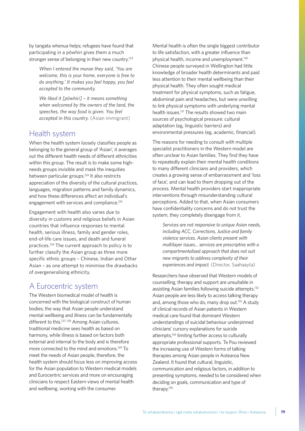by tangata whenua helps; refugees have found that participating in a pōwhiri gives them a much stronger sense of belonging in their new country.<sup>123</sup>

*When I entered the marae they said, 'You are welcome, this is your home, everyone is free to do anything.' It makes you feel happy, you feel accepted to the community.* 

*We liked it [pōwhiri] – it means something when welcomed by the owners of the land, the speeches, the way food is given. You feel accepted in this country.* (Asian immigrant)

#### Health system

When the health system loosely classifies people as belonging to the general group of 'Asian', it averages out the different health needs of different ethnicities within this group. The result is to make some highneeds groups invisible and mask the inequities between particular groups.124 It also restricts appreciation of the diversity of the cultural practices, languages, migration patterns and family dynamics, and how these differences affect an individual's engagement with services and compliance.125

Engagement with health also varies due to diversity in customs and religious beliefs in Asian countries that influence responses to mental health, serious illness, family and gender roles, end-of-life care issues, and death and funeral practices.126 The current approach to policy is to further classify the Asian group as three more specific ethnic groups – Chinese, Indian and Other Asian – as one attempt to minimise the drawbacks of overgeneralising ethnicity.

### A Eurocentric system

The Western biomedical model of health is concerned with the biological construct of human bodies; the way that Asian people understand mental wellbeing and illness can be fundamentally different to this.<sup>127, 128</sup> Among Asian cultures, traditional medicine sees health as based on harmony, while illness is based on factors both external and internal to the body and is therefore more connected to the mind and emotions.129 To meet the needs of Asian people, therefore, the health system should focus less on improving access for the Asian population to Western medical models and Eurocentric services and more on encouraging clinicians to respect Eastern views of mental health and wellbeing, working with the consumer.

Mental health is often the single biggest contributor to life satisfaction, with a greater influence than physical health, income and unemployment.130 Chinese people surveyed in Wellington had little knowledge of broader health determinants and paid less attention to their mental wellbeing than their physical health. They often sought medical treatment for physical symptoms, such as fatigue, abdominal pain and headaches, but were unwilling to link physical symptoms with underlying mental health issues.<sup>131</sup> The results showed two main sources of psychological pressure: cultural adaptation (eg, linguistic barriers) and environmental pressures (eg, academic, financial).

The reasons for needing to consult with multiple specialist practitioners in the Western model are often unclear to Asian families. They find they have to repeatedly explain their mental health conditions to many different clinicians and providers, which creates a growing sense of embarrassment and 'loss of face', and can lead to them dropping out of the process. Mental health providers start inappropriate interventions through misunderstanding cultural perceptions. Added to that, when Asian consumers have confidentiality concerns and do not trust the system, they completely disengage from it.

*Services are not responsive to unique Asian needs, including ACC, Corrections, Justice and family violence services. Asian clients present with multilayer issues... services are prescriptive with a compartmentalised approach that does not suit new migrants to address complexity of their experiences and impact.* (Director, Saahaayta)

Researchers have observed that Western models of counselling, therapy and support are unsuitable in assisting Asian families following suicide attempts.<sup>132</sup> Asian people are less likely to access talking therapy and, among those who do, many drop out.<sup>133</sup> A study of clinical records of Asian patients in Western medical care found that dominant Western understandings of suicidal behaviour underpinned clinicians' cursory explanations for suicide attempts,<sup>134</sup> limiting further access to culturally appropriate professional supports. Te Pou reviewed the increasing use of Western forms of talking therapies among Asian people in Aotearoa New Zealand. It found that cultural, linguistic, communication and religious factors, in addition to presenting symptoms, needed to be considered when deciding on goals, communication and type of therapy.<sup>135</sup>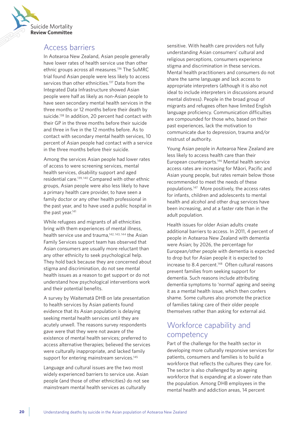

#### Access barriers

In Aotearoa New Zealand, Asian people generally have lower rates of health service use than other ethnic groups across all measures.<sup>136</sup> The SuMRC trial found Asian people were less likely to access services than other ethnicities.<sup>137</sup> Data from the Integrated Data Infrastructure showed Asian people were half as likely as non-Asian people to have seen secondary mental health services in the three months or 12 months before their death by suicide.<sup>138</sup> In addition, 20 percent had contact with their GP in the three months before their suicide and three in five in the 12 months before. As to contact with secondary mental health services, 10 percent of Asian people had contact with a service in the three months before their suicide.

Among the services Asian people had lower rates of access to were screening services, mental health services, disability support and aged residential care.139, 140 Compared with other ethnic groups, Asian people were also less likely to have a primary health care provider, to have seen a family doctor or any other health professional in the past year, and to have used a public hospital in the past year.<sup>141</sup>

While refugees and migrants of all ethnicities bring with them experiences of mental illness, health service use and trauma,<sup>142, 143, 144</sup> the Asian Family Services support team has observed that Asian consumers are usually more reluctant than any other ethnicity to seek psychological help. They hold back because they are concerned about stigma and discrimination, do not see mental health issues as a reason to get support or do not understand how psychological interventions work and their potential benefits.

A survey by Waitematā DHB on late presentation to health services by Asian patients found evidence that its Asian population is delaying seeking mental health services until they are acutely unwell. The reasons survey respondents gave were that they were not aware of the existence of mental health services; preferred to access alternative therapies; believed the services were culturally inappropriate, and lacked family support for entering mainstream services.<sup>145</sup>

Language and cultural issues are the two most widely experienced barriers to service use. Asian people (and those of other ethnicities) do not see mainstream mental health services as culturally

sensitive. With health care providers not fully understanding Asian consumers' cultural and religious perceptions, consumers experience stigma and discrimination in these services. Mental health practitioners and consumers do not share the same language and lack access to appropriate interpreters (although it is also not ideal to include interpreters in discussions around mental distress). People in the broad group of migrants and refugees often have limited English language proficiency. Communication difficulties are compounded for those who, based on their past experiences, lack the motivation to communicate due to depression, trauma and/or mistrust of authority.

Young Asian people in Aotearoa New Zealand are less likely to access health care than their European counterparts.146 Mental health service access rates are increasing for Māori, Pacific and Asian young people, but rates remain below those recommended to meet the needs of these populations.147 More positively, the access rates for infants, children and adolescents to mental health and alcohol and other drug services have been increasing, and at a faster rate than in the adult population.

Health issues for older Asian adults create additional barriers to access. In 2011, 4 percent of people in Aotearoa New Zealand with dementia were Asian; by 2026, the percentage for European/other people with dementia is expected to drop but for Asian people it is expected to increase to 8.4 percent.<sup>148</sup> Often cultural reasons prevent families from seeking support for dementia. Such reasons include attributing dementia symptoms to 'normal' ageing and seeing it as a mental health issue, which then confers shame. Some cultures also promote the practice of families taking care of their older people themselves rather than asking for external aid.

### Workforce capability and competency

Part of the challenge for the health sector in developing more culturally responsive services for patients, consumers and families is to build a workforce that reflects the cultures they care for. The sector is also challenged by an ageing workforce that is expanding at a slower rate than the population. Among DHB employees in the mental health and addiction areas, 14 percent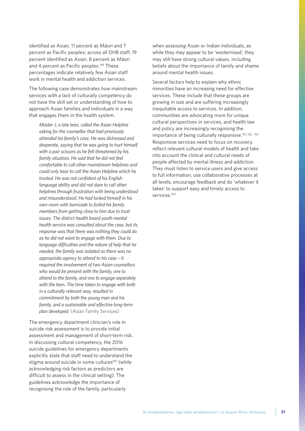identified as Asian, 11 percent as Māori and 7 percent as Pacific peoples; across all DHB staff, 19 percent identified as Asian, 8 percent as Māori and 4 percent as Pacific peoples.<sup>149</sup> These percentages indicate relatively few Asian staff work in mental health and addiction services.

The following case demonstrates how mainstream services with a lack of culturally competency do not have the skill set or understanding of how to approach Asian families and individuals in a way that engages them in the health system.

*Master J, a late teen, called the Asian Helpline asking for the counsellor that had previously attended his family's case. He was distressed and desperate, saying that he was going to hurt himself with a pair scissors as he felt threatened by his family situation. He said that he did not feel comfortable to call other mainstream helplines and could only bear to call the Asian Helpline which he trusted. He was not confident of his English language ability and did not dare to call other helplines through frustration with being understood and misunderstood. He had locked himself in his own room with barricade to forbid his family members from getting close to him due to trust issues. The district health board youth mental health service was consulted about the case, but its response was that there was nothing they could do as he did not want to engage with them. Due to language difficulties and the nature of help that he needed, the family was isolated as there was no appropriate agency to attend to his case – it required the involvement of two Asian counsellors who would be present with the family, one to attend to the family, and one to engage separately with the teen. The time taken to engage with both in a culturally relevant way, resulted in commitment by both the young man and his family, and a sustainable and effective long-term plan developed.* (Asian Family Services)

The emergency department clinician's role in suicide risk assessment is to provide initial assessment and management of short-term risk. In discussing cultural competency, the 2016 suicide guidelines for emergency departments explicitly state that staff need to understand the stigma around suicide in some cultures<sup>150</sup> (while acknowledging risk factors as predictors are difficult to assess in the clinical setting). The guidelines acknowledge the importance of recognising the role of the family, particularly

when assessing Asian or Indian individuals, as while they may appear to be 'westernised', they may still have strong cultural values, including beliefs about the importance of family and shame around mental health issues.

Several factors help to explain why ethnic minorities have an increasing need for effective services. These include that these groups are growing in size and are suffering increasingly inequitable access to services. In addition, communities are advocating more for unique cultural perspectives in services, and health law and policy are increasingly recognising the importance of being culturally responsive.<sup>151, 152, 153</sup> Responsive services need to focus on recovery, reflect relevant cultural models of health and take into account the clinical and cultural needs of people affected by mental illness and addiction. They must listen to service users and give access to full information, use collaborative processes at all levels, encourage feedback and do 'whatever it takes' to support easy and timely access to services.<sup>154</sup>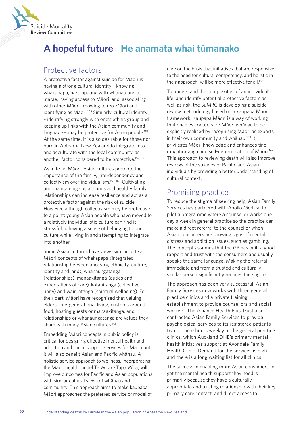

## **A hopeful future** | **He anamata whai tūmanako**

#### Protective factors

A protective factor against suicide for Māori is having a strong cultural identity – knowing whakapapa, participating with whānau and at marae, having access to Māori land, associating with other Māori, knowing te reo Māori and identifying as Māori.<sup>155</sup> Similarly, cultural identity – identifying strongly with one's ethnic group and keeping up links with the Asian community and language - may be protective for Asian people.<sup>156</sup> At the same time, it is also desirable for those not born in Aotearoa New Zealand to integrate into and acculturate with the local community, as another factor considered to be protective.<sup>157, 158</sup>

As in te ao Māori, Asian cultures promote the importance of the family, interdependency and collectivism over individualism.159, 160 Cultivating and maintaining social bonds and healthy family relationships can increase resilience and act as a protective factor against the risk of suicide. However, although collectivism may be protective to a point; young Asian people who have moved to a relatively individualistic culture can find it stressful to having a sense of belonging to one culture while living in and attempting to integrate into another.

Some Asian cultures have views similar to te ao Māori concepts of whakapapa (integrated relationship between ancestry, ethnicity, culture, identity and land), whanaungatanga (relationships), manaakitanga (duties and expectations of care), kotahitanga (collective unity) and wairuatanga (spiritual wellbeing). For their part, Māori have recognised that valuing elders, intergenerational living, customs around food, hosting guests or manaakitanga, and relationships or whanaungatanga are values they share with many Asian cultures.<sup>161</sup>

Embedding Māori concepts in public policy is critical for designing effective mental health and addiction and social support services for Māori but it will also benefit Asian and Pacific whānau. A holistic service approach to wellness, incorporating the Māori health model Te Whare Tapa Whā, will improve outcomes for Pacific and Asian populations with similar cultural views of whānau and community. This approach aims to make kaupapa Māori approaches the preferred service of model of

care on the basis that initiatives that are responsive to the need for cultural competency, and holistic in their approach, will be more effective for all.<sup>162</sup>

To understand the complexities of an individual's life, and identify potential protective factors as well as risk, the SuMRC is developing a suicide review methodology based on a kaupapa Māori framework. Kaupapa Māori is a way of working that enables contexts for Māori whānau to be explicitly realised by recognising Māori as experts in their own community and whānau.<sup>163</sup> It privileges Māori knowledge and enhances tino rangatiratanga and self-determination of Māori.164 This approach to reviewing death will also improve reviews of the suicides of Pacific and Asian individuals by providing a better understanding of cultural context.

### Promising practice

To reduce the stigma of seeking help, Asian Family Services has partnered with Apollo Medical to pilot a programme where a counsellor works one day a week in general practice so the practice can make a direct referral to the counsellor when Asian consumers are showing signs of mental distress and addiction issues, such as gambling. The concept assumes that the GP has built a good rapport and trust with the consumers and usually speaks the same language. Making the referral immediate and from a trusted and culturally similar person significantly reduces the stigma.

The approach has been very successful. Asian Family Services now works with three general practice clinics and a private training establishment to provide counsellors and social workers. The Alliance Health Plus Trust also contracted Asian Family Services to provide psychological services to its registered patients two or three hours weekly at the general practice clinics, which Auckland DHB's primary mental health initiatives support at Avondale Family Health Clinic. Demand for the services is high and there is a long waiting list for all clinics.

The success in enabling more Asian consumers to get the mental health support they need is primarily because they have a culturally appropriate and trusting relationship with their key primary care contact, and direct access to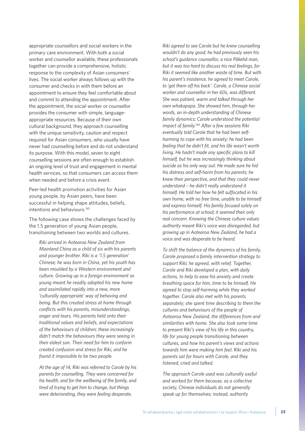appropriate counsellors and social workers in the primary care environment. With both a social worker and counsellor available, these professionals together can provide a comprehensive, holistic response to the complexity of Asian consumers' lives. The social worker always follows up with the consumer and checks in with them before an appointment to ensure they feel comfortable about and commit to attending the appointment. After the appointment, the social worker or counsellor provides the consumer with simple, languageappropriate resources. Because of their own cultural background, they approach counselling with the unique sensitivity, caution and respect required for Asian consumers, who usually have never had counselling before and do not understand its purpose. With this model, seven to eight counselling sessions are often enough to establish an ongoing level of trust and engagement in mental health services, so that consumers can access them when needed and before a crisis event.

Peer-led health promotion activities for Asian young people, by Asian peers, have been successful in helping shape attitudes, beliefs, intentions and behaviours.165

The following case shows the challenges faced by the 1.5 generation of young Asian people, transitioning between two worlds and cultures.

*Riki arrived in Aotearoa New Zealand from Mainland China as a child of six with his parents and younger brother. Riki is a '1.5 generation' Chinese; he was born in China, yet his youth has been moulded by a Western environment and culture. Growing up in a foreign environment so young meant he readily adopted his new home and assimilated rapidly into a new, more 'culturally appropriate' way of behaving and being. But this created stress at home through conflicts with his parents, misunderstandings, anger and tears. His parents held onto their traditional values and beliefs, and expectations of the behaviours of children; these increasingly didn't match the behaviours they were seeing in their eldest son. Their need for him to conform created confusion and stress for Riki, and he found it impossible to be two people.* 

*At the age of 14, Riki was referred to Carole by his parents for counselling. They were concerned for his health, and for the wellbeing of the family, and tired of trying to get him to change, but things were deteriorating, they were feeling desperate.* 

*Riki agreed to see Carole but he knew counselling wouldn't do any good; he had previously seen his school's guidance counsellor, a nice Pākehā man, but it was too hard to discuss his real feelings, for Riki it seemed like another waste of time. But with his parent's insistence, he agreed to meet Carole, to 'get them off his back'. Carole, a Chinese social worker and counsellor in her 60s, was different. She was patient, warm and talked through her own whakapapa. She showed him, through her words, an in-depth understanding of Chinese family dynamics; Carole understood the potential impact of family.*<sup>166</sup> *After a few sessions Riki eventually told Carole that he had been selfharming to cope with his anxiety; he had been feeling that he didn't fit, and his life wasn't worth living. He hadn't made any specific plans to kill himself, but he was increasingly thinking about suicide as his only way out. He made sure he hid his distress and self-harm from his parents; he knew their perspective, and that they could never understand – he didn't really understand it himself. He told her how he felt suffocated in his own home, with no free time, unable to be himself and express himself. His family focused solely on his performance at school; it seemed their only real concern. Knowing the Chinese culture values authority meant Riki's voice was disregarded, but growing up in Aotearoa New Zealand, he had a voice and was desperate to be heard.* 

*To shift the balance of the dynamics of his family, Carole proposed a family intervention strategy to support Riki; he agreed, with relief. Together, Carole and Riki developed a plan, with daily actions, to help to ease his anxiety and create breathing space for him, time to be himself. He agreed to stop self-harming while they worked together. Carole also met with his parents separately; she spent time describing to them the cultures and behaviours of the people of Aotearoa New Zealand, the differences from and similarities with home. She also took some time to present Riki's view of his life in this country, life for young people transitioning between cultures, and how his parent's views and actions towards him were making him feel. Riki and his parents sat for hours with Carole, and they listened, cried and talked.* 

*The approach Carole used was culturally useful and worked for them because, as a collective society, Chinese individuals do not generally speak up for themselves; instead, authority*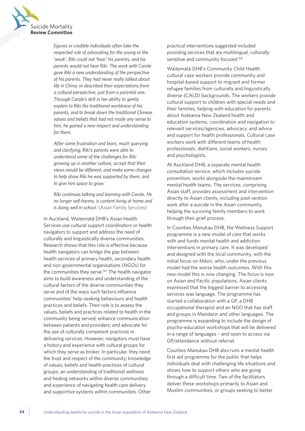

*figures or credible individuals often take the respected role of advocating for the young or the 'weak'. Riki could not 'hear' his parents, and his parents would not hear Riki. The work with Carole gave Riki a new understanding of the perspective of his parents. They had never really talked about life in China, or described their expectations from a cultural perspective, just from a parental one. Through Carole's skill in her ability to gently explain to Riki the traditional worldview of his parents, and to break down the traditional Chinese values and beliefs that had not made any sense to him, he gained a new respect and understanding for them.* 

*After some frustration and tears, much querying and clarifying, Riki's parents were able to understand some of the challenges for Riki growing up in another culture, accept that their views would be different, and make some changes to help show Riki he was supported by them, and to give him space to grow.* 

*Riki continues talking and learning with Carole. He no longer self-harms, is content living at home and is doing well in school.* (Asian Family Services)

In Auckland, Waitematā DHB's Asian Health Services use cultural support coordinators or health navigators to support and address the need of culturally and linguistically diverse communities. Research shows that this role is effective because health navigators can bridge the gap between health services of primary health, secondary health and non-governmental organisations (NGOs) for the communities they serve.<sup>167</sup> The health navigator aims to build awareness and understanding of the cultural factors of the diverse communities they serve and of the ways such factors influence communities' help-seeking behaviours and health practices and beliefs. Their role is to assess the values, beliefs and practices related to health in the community being served; enhance communication between patients and providers; and advocate for the use of culturally competent practices in delivering services. However, navigators must have a history and experience with cultural groups for which they serve as broker. In particular, they need: the trust and respect of the community; knowledge of values, beliefs and health practices of cultural groups; an understanding of traditional wellness and healing networks within diverse communities; and experience of navigating health care delivery and supportive systems within communities. Other

practical interventions suggested included providing services that are multilingual, culturally sensitive and community focused.<sup>168</sup>

Waitematā DHB's Community Child Health cultural case workers provide community and hospital-based support to migrant and former refugee families from culturally and linguistically diverse (CALD) backgrounds. The workers provide cultural support to children with special needs and their families, helping with education for parents about Aotearoa New Zealand health and education systems, coordination and navigation to relevant services/agencies, advocacy, and advice and support for health professionals. Cultural case workers work with different teams of health professionals, dietitians, social workers, nurses and psychologists.

At Auckland DHB, a separate mental health consultation service, which includes suicide prevention, works alongside the mainstream mental health teams. The services, comprising Asian staff, provides assessment and intervention directly to Asian clients, including post-vention work after a suicide in the Asian community, helping the surviving family members to work through their grief process.

In Counties Manukau DHB, the Wellness Support programme is a new model of care that works with and funds mental health and addiction interventions in primary care. It was developed and designed with the local community, with the initial focus on Māori, who, under the previous model had the worse health outcomes. With this new model this is now changing. The focus is now on Asian and Pacific populations. Asian clients expressed that the biggest barrier to accessing services was language. The programme has started a collaboration with a GP, a DHB occupational therapist and an NGO that has staff and groups in Mandarin and other languages. The programme is expanding to include the design of psycho-education workshops that will be delivered in a range of languages – and open to access via GP/attendance without referral.

Counties Manukau DHB also runs a mental health first aid programme for the public that helps individuals deal with challenging life situations and shows how to support others who are going through a difficult time. Two of the facilitators deliver these workshops primarily to Asian and Muslim communities, or groups seeking to better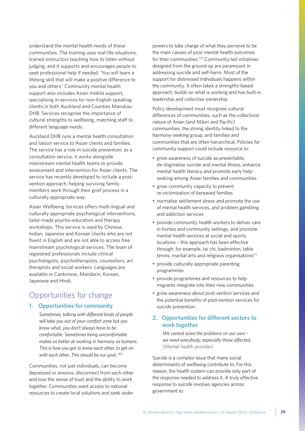understand the mental health needs of these communities. The training uses real-life situations, trained instructors teaching how to listen without judging, and it supports and encourages people to seek professional help if needed. 'You will learn a lifelong skill that will make a positive difference to you and others.' Community mental health support also includes Asian mobile support, specialising in services for non-English speaking clients in both Auckland and Counties Manukau DHB. Services recognise the importance of cultural strengths to wellbeing, matching staff to different language needs.

Auckland DHB runs a mental health consultation and liaison service to Asian clients and families. The service has a role in suicide prevention; as a consultation service, it works alongside mainstream mental health teams to provide assessment and intervention for Asian clients. The service has recently developed to include a postvention approach, helping surviving family members work through their grief process in a culturally appropriate way.

Asian Wellbeing Services offers multi-lingual and culturally appropriate psychological interventions, tailor-made psycho-education and therapy workshops. This service is used by Chinese, Indian, Japanese and Korean clients who are not fluent in English and are not able to access free mainstream psychological services. The team of registered professionals include clinical psychologists, psychotherapists, counsellors, art therapists and social workers. Languages are available in Cantonese, Mandarin, Korean, Japanese and Hindi.

### Opportunities for change

#### **1. Opportunities for community**

*Sometimes, talking with different kinds of people will take you out of your comfort zone but you know what, you don't always have to be comfortable. Sometimes being uncomfortable makes us better at working in harmony as humans. This is how you get to know each other, to get on with each other. This should be our goal.* <sup>169</sup>

Communities, not just individuals, can become depressed or anxious, disconnect from each other and lose the sense of trust and the ability to work together. Communities want access to national resources to create local solutions and seek wider powers to take charge of what they perceive to be the main causes of poor mental health outcomes for their communities.170 Community-led initiatives designed from the ground up are paramount in addressing suicide and self-harm. Most of the support for distressed individuals happens within the community. It often takes a strengths-based approach, builds on what is working and has built-in leadership and collective ownership.

Policy development must recognise cultural differences of communities, such as the collectivist nature of Asian (and Māori and Pacific) communities, the strong identity linked to the harmony-seeking group, and families and communities that are often hierarchical. Policies for community support could include resource to:

- grow awareness of suicide as preventable, de-stigmatise suicide and mental illness, enhance mental health literacy and promote early helpseeking among Asian families and communities
- grow community capacity to prevent re-victimisation of bereaved families
- normalise settlement stress and promote the use of mental health services, and problem gambling and addiction services
- provide community health workers to deliver care in homes and community settings, and promote mental health services at social and sports locations – this approach has been effective through, for example, tai chi, badminton, table tennis, martial arts and religious organisations $171$
- provide culturally appropriate parenting programmes
- provide programmes and resources to help migrants integrate into their new communities
- grow awareness about post-vention services and the potential benefits of post-vention services for suicide prevention.

#### **2. Opportunities for different sectors to work together**

*We cannot solve the problems on our own – we need everybody, especially those affected.*  (Mental health provider)

Suicide is a complex issue that many social determinants of wellbeing contribute to. For this reason, the health system can provide only part of the response needed to address it. A truly effective response to suicide involves agencies across government to: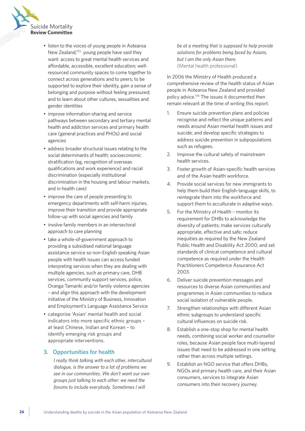

- listen to the voices of young people in Aotearoa New Zealand;<sup>173</sup> young people have said they want: access to great mental health services and affordable, accessible, excellent education; wellresourced community spaces to come together to connect across generations and to peers; to be supported to explore their identity, gain a sense of belonging and purpose without feeling pressured; and to learn about other cultures, sexualities and gender identities
- improve information-sharing and service pathways between secondary and tertiary mental health and addiction services and primary health care (general practices and PHOs) and social agencies
- address broader structural issues relating to the social determinants of health; socioeconomic stratification (eg, recognition of overseas qualifications and work experience) and racial discrimination (especially institutional discrimination in the housing and labour markets, and in health care)
- improve the care of people presenting to emergency departments with self-harm injuries, improve their transition and provide appropriate follow-up with social agencies and family
- involve family members in an intersectoral approach to care planning
- take a whole-of-government approach to providing a subsidised national language assistance service so non-English speaking Asian people with health issues can access funded interpreting services when they are dealing with multiple agencies, such as primary care, DHB services, community support services, police, Oranga Tamariki and/or family violence agencies – and align this approach with the development initiative of the Ministry of Business, Innovation and Employment's Language Assistance Service
- categorise 'Asian' mental health and social indicators into more specific ethnic groups – at least Chinese, Indian and Korean – to identify emerging risk groups and appropriate interventions.

#### **3. Opportunities for health**

*I really think talking with each other, intercultural dialogue, is the answer to a lot of problems we see in our communities. We don't want our own groups just talking to each other: we need the forums to include everybody. Sometimes I will*

*be at a meeting that is supposed to help provide solutions for problems being faced by Asians, but I am the only Asian there.* (Mental health professional)

In 2006 the Ministry of Health produced a comprehensive review of the health status of Asian people in Aotearoa New Zealand and provided policy advice.174 The issues it documented then remain relevant at the time of writing this report:

- 1. Ensure suicide prevention plans and policies recognise and reflect the unique patterns and needs around Asian mental health issues and suicide; and develop specific strategies to address suicide prevention in subpopulations such as refugees.
- 2. Improve the cultural safety of mainstream health services.
- 3. Foster growth of Asian-specific health services and of the Asian health workforce.
- 4. Provide social services for new immigrants to help them build their English-language skills, to reintegrate them into the workforce and support them to acculturate in adaptive ways.
- 5. For the Ministry of Health monitor its requirement for DHBs to acknowledge the diversity of patients; make services culturally appropriate, effective and safe; reduce inequities as required by the New Zealand Public Health and Disability Act 2000; and set standards of clinical competence and cultural competence as required under the Health Practitioners Competence Assurance Act 2003.
- 6. Deliver suicide prevention messages and resources to diverse Asian communities and programmes in Asian communities to reduce social isolation of vulnerable people.
- 7. Strengthen relationships with different Asian ethnic subgroups to understand specific cultural influences on suicide risk.
- 8. Establish a one-stop shop for mental health needs, combining social worker and counsellor roles, because Asian people face multi-layered issues that need to be addressed in one setting rather than across multiple settings.
- 9. Establish an NGO service that offers DHBs, NGOs and primary health care, and their Asian consumers, services to integrate Asian consumers into their recovery journey.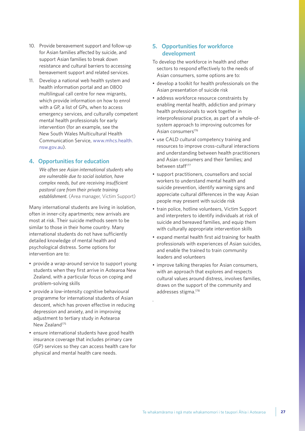- 10. Provide bereavement support and follow-up for Asian families affected by suicide, and support Asian families to break down resistance and cultural barriers to accessing bereavement support and related services.
- 11. Develop a national web health system and health information portal and an 0800 multilingual call centre for new migrants, which provide information on how to enrol with a GP, a list of GPs, when to access emergency services, and culturally competent mental health professionals for early intervention (for an example, see the New South Wales Multicultural Health Communication Service, www.mhcs.health. nsw.gov.au).

#### **4. Opportunities for education**

*We often see Asian international students who are vulnerable due to social isolation, have complex needs, but are receiving insufficient pastoral care from their private training establishment.* (Area manager, Victim Support)

Many international students are living in isolation, often in inner-city apartments; new arrivals are most at risk. Their suicide methods seem to be similar to those in their home country. Many international students do not have sufficiently detailed knowledge of mental health and psychological distress. Some options for intervention are to:

- provide a wrap-around service to support young students when they first arrive in Aotearoa New Zealand, with a particular focus on coping and problem-solving skills
- provide a low-intensity cognitive behavioural programme for international students of Asian descent, which has proven effective in reducing depression and anxiety, and in improving adjustment to tertiary study in Aotearoa New Zealand<sup>175</sup>
- ensure international students have good health insurance coverage that includes primary care (GP) services so they can access health care for physical and mental health care needs.

#### **5. Opportunities for workforce development**

- To develop the workforce in health and other sectors to respond effectively to the needs of Asian consumers, some options are to:
- develop a toolkit for health professionals on the Asian presentation of suicide risk
- address workforce resource constraints by enabling mental health, addiction and primary health professionals to work together in interprofessional practice, as part of a whole-ofsystem approach to improving outcomes for Asian consumers<sup>176</sup>
- use CALD cultural competency training and resources to improve cross-cultural interactions and understanding between health practitioners and Asian consumers and their families; and between staff<sup>177</sup>
- support practitioners, counsellors and social workers to understand mental health and suicide prevention, identify warning signs and appreciate cultural differences in the way Asian people may present with suicide risk
- train police, hotline volunteers, Victim Support and interpreters to identify individuals at risk of suicide and bereaved families, and equip them with culturally appropriate intervention skills
- expand mental health first aid training for health professionals with experiences of Asian suicides, and enable the trained to train community leaders and volunteers
- improve talking therapies for Asian consumers, with an approach that explores and respects cultural values around distress, involves families, draws on the support of the community and addresses stigma.178

.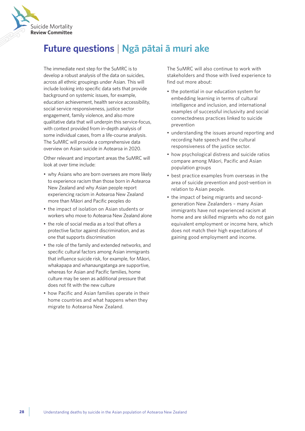

## **Future questions** | **Ngā pātai ā muri ake**

The immediate next step for the SuMRC is to develop a robust analysis of the data on suicides, across all ethnic groupings under Asian. This will include looking into specific data sets that provide background on systemic issues, for example, education achievement, health service accessibility, social service responsiveness, justice sector engagement, family violence, and also more qualitative data that will underpin this service-focus, with context provided from in-depth analysis of some individual cases, from a life-course analysis. The SuMRC will provide a comprehensive data overview on Asian suicide in Aotearoa in 2020.

Other relevant and important areas the SuMRC will look at over time include:

- why Asians who are born oversees are more likely to experience racism than those born in Aotearoa New Zealand and why Asian people report experiencing racism in Aotearoa New Zealand more than Māori and Pacific peoples do
- the impact of isolation on Asian students or workers who move to Aotearoa New Zealand alone
- the role of social media as a tool that offers a protective factor against discrimination, and as one that supports discrimination
- the role of the family and extended networks, and specific cultural factors among Asian immigrants that influence suicide risk, for example, for Māori, whakapapa and whanaungatanga are supportive, whereas for Asian and Pacific families, home culture may be seen as additional pressure that does not fit with the new culture
- how Pacific and Asian families operate in their home countries and what happens when they migrate to Aotearoa New Zealand.

The SuMRC will also continue to work with stakeholders and those with lived experience to find out more about:

- the potential in our education system for embedding learning in terms of cultural intelligence and inclusion, and international examples of successful inclusivity and social connectedness practices linked to suicide prevention
- understanding the issues around reporting and recording hate speech and the cultural responsiveness of the justice sector.
- how psychological distress and suicide ratios compare among Māori, Pacific and Asian population groups
- best practice examples from overseas in the area of suicide prevention and post-vention in relation to Asian people.
- the impact of being migrants and secondgeneration New Zealanders – many Asian immigrants have not experienced racism at home and are skilled migrants who do not gain equivalent employment or income here, which does not match their high expectations of gaining good employment and income.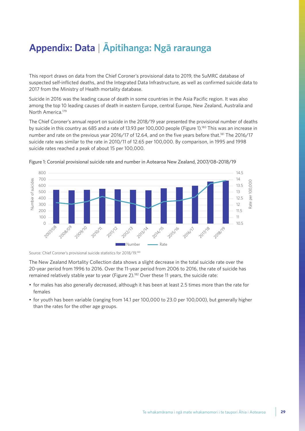## **Appendix: Data** | **Āpitihanga: Ngā raraunga**

This report draws on data from the Chief Coroner's provisional data to 2019, the SuMRC database of suspected self-inflicted deaths, and the Integrated Data Infrastructure, as well as confirmed suicide data to 2017 from the Ministry of Health mortality database.

Suicide in 2016 was the leading cause of death in some countries in the Asia Pacific region. It was also among the top 10 leading causes of death in eastern Europe, central Europe, New Zealand, Australia and North America.179

The Chief Coroner's annual report on suicide in the 2018/19 year presented the provisional number of deaths by suicide in this country as 685 and a rate of 13.93 per 100,000 people (Figure 1).<sup>180</sup> This was an increase in number and rate on the previous year 2016/17 of 12.64, and on the five years before that.<sup>181</sup> The 2016/17 suicide rate was similar to the rate in 2010/11 of 12.65 per 100,000. By comparison, in 1995 and 1998 suicide rates reached a peak of about 15 per 100,000.



Figure 1: Coronial provisional suicide rate and number in Aotearoa New Zealand, 2007/08–2018/19

Source: Chief Coroner's provisional suicide statistics for 2018/19.180

The New Zealand Mortality Collection data shows a slight decrease in the total suicide rate over the 20-year period from 1996 to 2016. Over the 11-year period from 2006 to 2016, the rate of suicide has remained relatively stable year to year (Figure 2).<sup>182</sup> Over these 11 years, the suicide rate:

- for males has also generally decreased, although it has been at least 2.5 times more than the rate for females
- for youth has been variable (ranging from 14.1 per 100,000 to 23.0 per 100,000), but generally higher than the rates for the other age groups.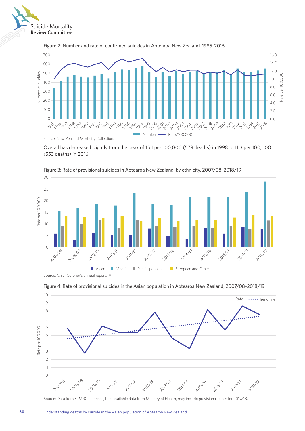



#### Figure 2: Number and rate of confirmed suicides in Aotearoa New Zealand, 1985–2016

Overall has decreased slightly from the peak of 15.1 per 100,000 (579 deaths) in 1998 to 11.3 per 100,000 (553 deaths) in 2016.



Figure 3: Rate of provisional suicides in Aotearoa New Zealand, by ethnicity, 2007/08–2018/19

Figure 4: Rate of provisional suicides in the Asian population in Aotearoa New Zealand, 2007/08–2018/19



Source: Data from SuMRC database; best available data from Ministry of Health, may include provisional cases for 2017/18.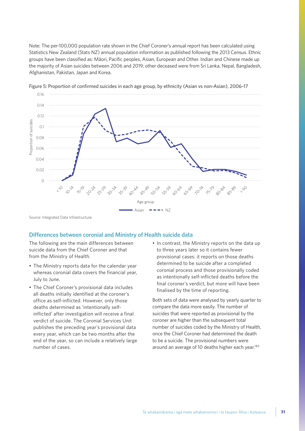Note: The per-100,000 population rate shown in the Chief Coroner's annual report has been calculated using Statistics New Zealand (Stats NZ) annual population information as published following the 2013 Census. Ethnic groups have been classified as: Māori, Pacific peoples, Asian, European and Other. Indian and Chinese made up the majority of Asian suicides between 2006 and 2019; other deceased were from Sri Lanka, Nepal, Bangladesh, Afghanistan, Pakistan, Japan and Korea.



Figure 5: Proportion of confirmed suicides in each age group, by ethnicity (Asian vs non-Asian), 2006–17

Source: Integrated Data Infrastructure.

 $0.16$ 

#### **Differences between coronial and Ministry of Health suicide data**

The following are the main differences between suicide data from the Chief Coroner and that from the Ministry of Health.

- The Ministry reports data for the calendar year whereas coronial data covers the financial year, July to June.
- The Chief Coroner's provisional data includes all deaths initially identified at the coroner's office as self-inflicted. However, only those deaths determined as 'intentionally selfinflicted' after investigation will receive a final verdict of suicide. The Coronial Services Unit publishes the preceding year's provisional data every year, which can be two months after the end of the year, so can include a relatively large number of cases.
- In contrast, the Ministry reports on the data up to three years later so it contains fewer provisional cases: it reports on those deaths determined to be suicide after a completed coronial process and those provisionally coded as intentionally self-inflicted deaths before the final coroner's verdict, but more will have been finalised by the time of reporting.

Both sets of data were analysed by yearly quarter to compare the data more easily. The number of suicides that were reported as provisional by the coroner are higher than the subsequent total number of suicides coded by the Ministry of Health, once the Chief Coroner had determined the death to be a suicide. The provisional numbers were around an average of 10 deaths higher each year.184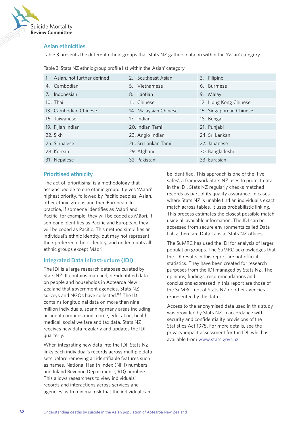

#### **Asian ethnicities**

Table 3 presents the different ethnic groups that Stats NZ gathers data on within the 'Asian' category.

Table 3: Stats NZ ethnic group profile list within the 'Asian' category

| Asian, not further defined<br>1. | 2. Southeast Asian    | 3. Filipino             |
|----------------------------------|-----------------------|-------------------------|
| 4. Cambodian                     | 5. Vietnamese         | 6. Burmese              |
| 7. Indonesian                    | 8. Laotian            | 9. Malay                |
| 10. Thai                         | 11. Chinese           | 12. Hong Kong Chinese   |
| 13. Cambodian Chinese            | 14. Malaysian Chinese | 15. Singaporean Chinese |
| 16. Taiwanese                    | 17. Indian            | 18. Bengali             |
| 19. Fijian Indian                | 20. Indian Tamil      | 21. Punjabi             |
| 22. Sikh                         | 23. Anglo Indian      | 24. Sri Lankan          |
| 25. Sinhalese                    | 26. Sri Lankan Tamil  | 27. Japanese            |
| 28. Korean                       | 29. Afghani           | 30. Bangladeshi         |
| 31. Nepalese                     | 32. Pakistani         | 33. Eurasian            |

#### **Prioritised ethnicity**

The act of 'prioritising' is a methodology that assigns people to one ethnic group. It gives 'Māori' highest priority, followed by Pacific peoples, Asian, other ethnic groups and then European. In practice, if someone identifies as Māori and Pacific, for example, they will be coded as Māori. If someone identifies as Pacific and European, they will be coded as Pacific. This method simplifies an individual's ethnic identity, but may not represent their preferred ethnic identity, and undercounts all ethnic groups except Māori.

#### **Integrated Data Infrastructure (IDI)**

The IDI is a large research database curated by Stats NZ. It contains matched, de-identified data on people and households in Aotearoa New Zealand that government agencies, Stats NZ surveys and NGOs have collected.<sup>185</sup> The IDI contains longitudinal data on more than nine million individuals, spanning many areas including accident compensation, crime, education, health, medical, social welfare and tax data. Stats NZ receives new data regularly and updates the IDI quarterly.

When integrating new data into the IDI, Stats NZ links each individual's records across multiple data sets before removing all identifiable features such as names, National Health Index (NHI) numbers and Inland Revenue Department (IRD) numbers. This allows researchers to view individuals' records and interactions across services and agencies, with minimal risk that the individual can

be identified. This approach is one of the 'five safes', a framework Stats NZ uses to protect data in the IDI. Stats NZ regularly checks matched records as part of its quality assurance. In cases where Stats NZ is unable find an individual's exact match across tables, it uses probabilistic linking. This process estimates the closest possible match using all available information. The IDI can be accessed from secure environments called Data Labs; there are Data Labs at Stats NZ offices.

The SuMRC has used the IDI for analysis of larger population groups. The SuMRC acknowledges that the IDI results in this report are not official statistics. They have been created for research purposes from the IDI managed by Stats NZ. The opinions, findings, recommendations and conclusions expressed in this report are those of the SuMRC, not of Stats NZ or other agencies represented by the data.

Access to the anonymised data used in this study was provided by Stats NZ in accordance with security and confidentiality provisions of the Statistics Act 1975. For more details, see the privacy impact assessment for the IDI, which is available from www.stats.govt.nz.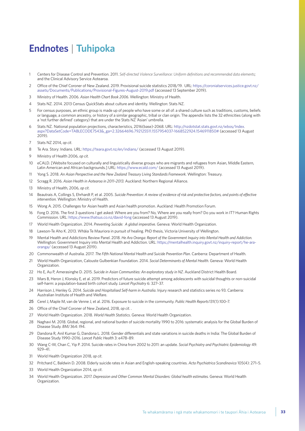### **Endnotes** | **Tuhipoka**

- Centers for Disease Control and Prevention. 2011. *Self-directed Violence Surveillance: Uniform definitions and recommended data elements*; and the Clinical Advisory Service Aotearoa.
- Office of the Chief Coroner of New Zealand. 2019. Provisional suicide statistics 2018/19. URL: [https://coronialservices.justice.govt.nz/](https://coronialservices.justice.govt.nz/assets/Documents/Publications/Provisional-Figures-August-2019.pdf) [assets/Documents/Publications/Provisional-Figures-August-2019.pdf](https://coronialservices.justice.govt.nz/assets/Documents/Publications/Provisional-Figures-August-2019.pdf) (accessed 13 September 2019).
- Ministry of Health. 2006. *Asian Health Chart Book 2006.* Wellington: Ministry of Health.
- Stats NZ. 2014. 2013 Census QuickStats about culture and identity. Wellington: Stats NZ.
- For census purposes, an ethnic group is made up of people who have some or all of: a shared culture such as traditions, customs, beliefs or language, a common ancestry, or history of a similar geographic, tribal or clan origin. The appendix lists the 32 ethnicities (along with a 'not further defined' category) that are under the Stats NZ 'Asian' umbrella.
- Stats NZ. National population projections, characteristics, 2016(base)-2068. URL: [http://nzdotstat.stats.govt.nz/wbos/Index.](http://nzdotstat.stats.govt.nz/wbos/Index.aspx?DataSetCode=TABLECODE7543&_ga=2.32664696.792125511.1557954037-1668522924.1546911850#) [aspx?DataSetCode=TABLECODE7543&\\_ga=2.32664696.792125511.1557954037-1668522924.1546911850#](http://nzdotstat.stats.govt.nz/wbos/Index.aspx?DataSetCode=TABLECODE7543&_ga=2.32664696.792125511.1557954037-1668522924.1546911850#) (accessed 13 August 2019).
- Stats NZ 2014, *op cit*.
- Te Ara. Story: Indians. URL:<https://teara.govt.nz/en/indians/> (accessed 13 August 2019).
- Ministry of Health 2006, *op cit*.
- eCALD. [Website focused on culturally and linguistically diverse groups who are migrants and refugees from Asian, Middle Eastern, Latin American and African backgrounds.] URL:<https://www.ecald.com/> (accessed 13 August 2019).
- Yong S. 2018. *An Asian Perspective and the New Zealand Treasury Living Standards Framework.* Wellington: Treasury.
- Scragg R. 2016. *Asian Health in Aotearoa in 2011–2013.* Auckland: Northern Regional Alliance.
- Ministry of Health, 2006, *op cit*.
- Beautrais A, Collings S, Ehrhardt P, et al. 2005. *Suicide Prevention: A review of evidence of risk and protective factors, and points of effective intervention.* Wellington: Ministry of Health.
- Wong A. 2015. Challenges for Asian health and Asian health promotion. Auckland: Health Promotion Forum.
- Fong D. 2016. The first 3 questions I get asked: Where are you from? No, Where are you really from? Do you work in IT? Human Rights Commission. URL: <https://www.thatsus.co.nz/david-fong>(accessed 13 August 2019).
- World Health Organization. 2014. *Preventing Suicide: A global imperative.* Geneva: World Health Organization.
- Lawson-Te Aho K. 2013. Whāia Te Mauriora in pursuit of healing. PhD thesis, Victoria University of Wellington.
- Mental Health and Addictions Review Panel. 2018. *He Ara Oranga: Report of the Government Inquiry into Mental Health and Addiction.*  Wellington: Government Inquiry into Mental Health and Addiction. URL: [https://mentalhealth.inquiry.govt.nz/inquiry-report/he-ara](https://mentalhealth.inquiry.govt.nz/inquiry-report/he-ara-oranga/)[oranga/](https://mentalhealth.inquiry.govt.nz/inquiry-report/he-ara-oranga/) (accessed 13 August 2019).
- Commonwealth of Australia. 2017. *The Fifth National Mental Health and Suicide Prevention Plan.* Canberra: Department of Health.
- World Health Organization, Calouste Gulbenkian Foundation. 2014. *Social Determinants of Mental Health.* Geneva: World Health Organization.
- Ho E, Au P, Amerasinghe D. 2015. *Suicide in Asian Communities: An exploratory study in NZ.* Auckland District Health Board.
- Mars B, Heron J, Klonsky E, et al. 2019. Predictors of future suicide attempt among adolescents with suicidal thoughts or non-suicidal self-harm: a population-based birth cohort study. *Lancet Psychiatry* 6: 327–37.
- Harrison J, Henley G. 2014. *Suicide and Hospitalised Self-harm in Australia*. Injury research and statistics series no 93. Canberra: Australian Institute of Health and Welfare.
- [Cerel J](https://www.ncbi.nlm.nih.gov/pubmed/?term=Cerel%20J%5BAuthor%5D&cauthor=true&cauthor_uid=26843675), [Maple M,](https://www.ncbi.nlm.nih.gov/pubmed/?term=Maple%20M%5BAuthor%5D&cauthor=true&cauthor_uid=26843675) [van de Venne J,](https://www.ncbi.nlm.nih.gov/pubmed/?term=van%20de%20Venne%20J%5BAuthor%5D&cauthor=true&cauthor_uid=26843675) et al. 2016. Exposure to suicide in the community. *[Public Health Repo](https://www.ncbi.nlm.nih.gov/pubmed/26843675)rts* 131(1):100–7.
- Office of the Chief Coroner of New Zealand, 2018, *op cit*. .
- World Health Organization. 2018. *World Health Statistics*. Geneva: World Health Organization.
- Naghavi M. 2018. Global, regional, and national burden of suicide mortality 1990 to 2016: systematic analysis for the Global Burden of Disease Study. *BMJ* 364: I94.
- Dandona R, Anil Kumar G, Dandona L. 2018. Gender differentials and state variations in suicide deaths in India: The Global Burden of Disease Study 1990–2016. *Lancet Public Health* 3: e478–89.
- Wang C-W, Chan C, Yip P. 2014. Suicide rates in China from 2002 to 2011: an update. *Social Psychiatry and Psychiatric Epidemiology* 49: 929–41.
- World Health Organization 2018, *op cit*.
- Pritchard C, Baldwin D. 2008. Elderly suicide rates in Asian and English-speaking countries. *Acta Psychiatrica Scandinavica* 105(4): 271–5.
- World Health Organization 2014, *op cit*.
- World Health Organization. 2017. *Depression and Other Common Mental Disorders: Global health estimates.* Geneva: World Health Organization.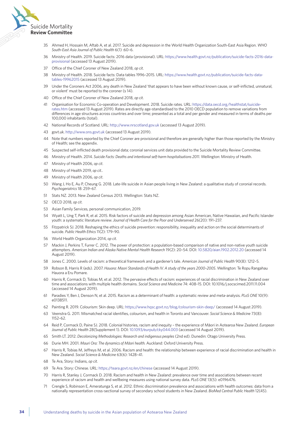

- Ahmed H, Hossain M, Aftab A, et al. 2017. Suicide and depression in the World Health Organization South-East Asia Region. *WHO South-East Asia Journal of Public Health* 6(1) :60–6.
- Ministry of Health. 2019. Suicide facts: 2016 data (provisional). URL: [https://www.health.govt.nz/publication/suicide-facts-2016-data](https://www.health.govt.nz/publication/suicide-facts-2016-data-provisional)[provisional](https://www.health.govt.nz/publication/suicide-facts-2016-data-provisional) (accessed 13 August 2019).
- Office of the Chief Coroner of New Zealand 2018, *op cit*.
- Ministry of Health. 2018. Suicide facts: Data tables 1996–2015. URL: [https://www.health.govt.nz/publication/suicide-facts-data](https://www.health.govt.nz/publication/suicide-facts-data-tables-19962015)[tables-19962015](https://www.health.govt.nz/publication/suicide-facts-data-tables-19962015) (accessed 13 August 2019).
- Under the Coroners Act 2006, any death in New Zealand 'that appears to have been without known cause, or self-inflicted, unnatural, or violent' must be reported to the coroner (s 14).
- Office of the Chief Coroner of New Zealand 2018, *op cit*.
- Organisation for Economic Co-operation and Development. 2018. Suicide rates. URL: [https://data.oecd.org/healthstat/suicide](https://data.oecd.org/healthstat/suicide-rates.htm)[rates.htm](https://data.oecd.org/healthstat/suicide-rates.htm) (accessed 13 August 2019). Rates are directly age-standardised to the 2010 OECD population to remove variations from differences in age structures across countries and over time; presented as a total and per gender and measured in terms of deaths per 100,000 inhabitants (total).
- National Records of Scotland. URL: [http://www.nrscotland.gov.uk](http://www.nrscotland.gov.uk/) (accessed 13 August 2019).
- govt.uk. [http://www.ons.govt.uk](http://www.ons.govt.uk/) (accessed 13 August 2019).
- Note that numbers reported by the Chief Coroner are provisional and therefore are generally higher than those reported by the Ministry of Health; see the appendix.
- Suspected self-inflicted death provisional data; coronial services unit data provided to the Suicide Mortality Review Committee.
- Ministry of Health. 2014. *Suicide Facts: Deaths and intentional self-harm hospitalisations 2011*. Wellington: Ministry of Health.
- Ministry of Health 2006, *op cit*.
- Ministry of Health 2019, *op cit.*.
- Ministry of Health 2006, *op cit*.
- Wang J, Ho E, Au P, Cheung G. 2018. Late-life suicide in Asian people living in New Zealand: a qualitative study of coronial records. *Psychogeriatrics* 18: 259–67.
- Stats NZ. 2013. New Zealand Census 2013. Wellington: Stats NZ.
- OECD 2018, *op cit*.
- Asian Family Services, personal communication, 2019.
- Wyatt L, Ung T, Park R, et al. 2015. Risk factors of suicide and depression among Asian American, Native Hawaiian, and Pacific Islander youth: a systematic literature review. *Journal of Health Care for the Poor and Underserved* 26(20): 191–237.
- Fitzpatrick SJ. 2018. Reshaping the ethics of suicide prevention: responsibility, inequality and action on the social determinants of suicide. *Public Health Ethics* 11(2): 179–90.
- World Health Organization 2014, *op cit*.
- Mackin J, Perkins T, Furrer C. 2012. The power of protection: a population-based comparison of native and non-native youth suicide attempters. *American Indian and Alaska Native Mental Health Research* 19(2): 20–54. DOI: [10.5820/aian.1902.2012.20](http://dx.doi​.org/10.5820/aian.1902.2012.20) (accessed 14 August 2019).
- Jones C. 2000. Levels of racism: a theoretical framework and a gardener's tale. *American Journal of Public Health* 90(8): 1212–5.
- Robson B, Harris R (eds). 2007. *Hauora: Maori Standards of Health IV. A study of the years 2000–2005*. Wellington: Te Ropu Rangahau Hauora a Eru Pomare.
- Harris R, Cormack D, Tobias M, et al. 2012. The pervasive effects of racism: experiences of racial discrimination in New Zealand over time and associations with multiple health domains. *Social Science and Medicine* 74: 408–15. DOI: 10.1016/j.socscimed.2011.11.004 (accessed 14 August 2019).
- Paradies Y, Ben J, Denson N, et al. 2015. Racism as a determinant of health: a systematic review and meta-analysis. *PLoS ONE* 10(9): e0138511.
- Painting R. 2019. Colourism: Skin deep. URL: <https://www.hqsc.govt.nz/blog/colourism-skin-deep/> (accessed 14 August 2019).
- Veenstra G. 2011. Mismatched racial identifies, colourism, and health in Toronto and Vancouver. *Social Science & Medicine* 73(8): 1152–62.
- Reid P, Cormack D, Paine SJ. 2018. Colonial histories, racism and inequity the experience of Māori in Aotearoa New Zealand. *European Journal of Public Health* 28(Supplement 1). DOI: [10.1093/eurpub/cky044.003](https://doi.org/10.1093/eurpub/cky044.003) (accessed 14 August 2019).
- Smith LT. 2012. *Decolonizing Methodologies: Research and indigenous peoples* (2nd ed). Dunedin: Otago University Press.
- Durie MH. 2001. *Mauri Ora: The dynamics of Māori health.* Auckland: Oxford University Press.
- Harris R, Tobias M, Jeffreys M, et al. 2006. Racism and health: the relationship between experience of racial discrimination and health in New Zealand. *Social Science & Medicine* 63(6): 1428–41.
- Te Ara, Story: Indians, *op cit*.
- Te Ara. Story: Chinese. URL:<https://teara.govt.nz/en/chinese>(accessed 14 August 2019).
- Harris R, Stanley J, Cormack D. 2018. Racism and health in New Zealand: prevalence over time and associations between recent experience of racism and health and wellbeing measures using national survey data. *PLoS ONE* 13(5): e0196476.
- Crengle S, Robinson E, Ameratunga S, et al. 2012. Ethnic discrimination prevalence and associations with health outcomes: data from a nationally representation cross-sectional survey of secondary school students in New Zealand. *BioMed Central Public Health* 12(45).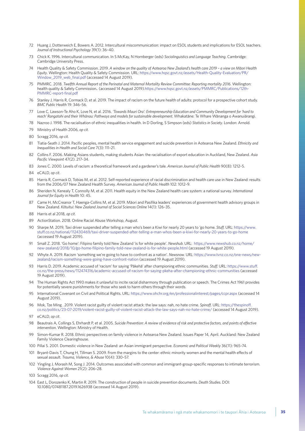- 72 Huang J, Dotterweich E, Bowers A. 2012. Intercultural miscommunication: impact on ESOL students and implications for ESOL teachers. *Journal of Instructional Psychology* 39(1): 36–40.
- 73 Chick K. 1996. Intercultural communication. In S McKay, N Hornberger (eds) *Sociolinguistics and Language Teaching*. Cambridge: Cambridge University Press.
- 74 Health Quality & Safety Commission. 2019. *A window on the quality of Aotearoa New Zealand's health care 2019 a view on Māori Health Equity*. Wellington: Health Quality & Safety Commission. URL: [https://www.hqsc.govt.nz/assets/Health-Quality-Evaluation/PR/](https://www.hqsc.govt.nz/assets/Health-Quality-Evaluation/PR/Window_2019_web_final.pdf) Window 2019 web final.pdf (accessed 14 August 2019).
- 75 PMMRC. 2018. *Twelfth Annual Report of the Perinatal and Maternal Mortality Review Committee: Reporting mortality 2016*. Wellington: health quality & Safety Commission. (accessed 14 August 2019).[https://www.hqsc.govt.nz/assets/PMMRC/Publications/12th-](https://www.hqsc.govt.nz/assets/PMMRC/Publications/12th-PMMRC-report-final.pdf)[PMMRC-report-final.pdf](https://www.hqsc.govt.nz/assets/PMMRC/Publications/12th-PMMRC-report-final.pdf)
- 76 Stanley J, Harris R, Cormack D, et al. 2019. The impact of racism on the future health of adults: protocol for a prospective cohort study. *BMC Public Health* 19: 346–56.
- 77 Love C, Lawson-Te Aho K, Love N, et al. 2016. *'Towards Mauri Ora': Entrepreneurship Education and Community Development for 'hard to reach' Rangatahi and their Whānau: Pathways and models for sustainable development.* Whakatāne: Te Whare Wānanga o Awanuiārangi.
- 78 Nazroo J. 1998. The racialisation of ethnic inequalities in health. In D Dorling, S Simpson (eds) *Statistics in Society*. London: Arnold.
- 79 Ministry of Health 2006, *op cit*.
- 80 Scragg 2016, *op cit*.
- 81 Tiatia-Seath J. 2014. Pacific peoples, mental health service engagement and suicide prevention in Aotearoa New Zealand. *Ethnicity and Inequalities in Health and Social Care* 7(3): 111–21.
- 82 Collins F. 2006. Making Asians students, making students Asian: the racialisation of export education in Auckland, New Zealand. *Asia Pacific Viewpoint* 47(2). 217–34.
- 83 Jones C. 2000. Levels of racism: a theoretical framework and a gardener's tale. *American Journal of Public Health* 90(8): 1212–5.
- 84 eCALD, *op cit*.
- 85 Harris R, Cormack D, Tobias M, et al. 2012. Self-reported experience of racial discrimination and health care use in New Zealand: results from the 2006/07 New Zealand Health Survey. *American Journal of Public Health* 102: 1012–9.
- 86 Sheriden N, Kenealy T, Connolly M, et al. 2011. Health equity in the New Zealand health care system: a national survey. *International Journal for Equity in Health* 10: 45.
- 87 Came H, McCreanor T, Haenga-Collins M, et al. 2019. Māori and Pasifika leaders' experiences of government health advisory groups in New Zealand. *Kōtuitui: New Zealand Journal of Social Sciences Online* 14(1): 126–35.
- 88 Harris et al 2018, *op cit*.
- 89 ActionStation. 2018. Online Racial Abuse Workshop, August.
- 90 Sharpe M. 2019, Taxi driver suspended after telling a man who's been a Kiwi for nearly 20 years to 'go home. *Stuff.* URL: [https://www.](https://www.stuff.co.nz/national/112430469/taxi-driver-suspended-after-telling-a-man-whos-been-a-kiwi-for-nearly-20-years-to-go-home) [stuff.co.nz/national/112430469/taxi-driver-suspended-after-telling-a-man-whos-been-a-kiwi-for-nearly-20-years-to-go-home](https://www.stuff.co.nz/national/112430469/taxi-driver-suspended-after-telling-a-man-whos-been-a-kiwi-for-nearly-20-years-to-go-home) (accessed 19 August 2019).
- 91 Small Z. 2018. 'Go home': Filipino family told New Zealand 'is for white people'. *Newshub.* URL: [https://www.newshub.co.nz/home/](https://www.newshub.co.nz/home/new-zealand/2018/10/go-home-filipino-family-told-new-zealand-is-for-white-people.html) [new-zealand/2018/10/go-home-filipino-family-told-new-zealand-is-for-white-people.html](https://www.newshub.co.nz/home/new-zealand/2018/10/go-home-filipino-family-told-new-zealand-is-for-white-people.html) (accessed 19 August 2019).
- 92 Whyte A. 2019. Racism 'something we're going to have to confront as a nation'. *Newsnow.* URL: [https://www.tvnz.co.nz/one-news/new](https://www.tvnz.co.nz/one-news/new-zealand/racism-something-were-going-have-confront-nation)[zealand/racism-something-were-going-have-confront-nation](https://www.tvnz.co.nz/one-news/new-zealand/racism-something-were-going-have-confront-nation) (accessed 19 August 2019).
- 93 Harris D. 2019. Academic accused of 'racism' for saying 'Pākehā' after championing ethnic communities. *Stuff.* URL: [https://www.stuff.](https://www.stuff.co.nz/the-press/news/112474316/academic-accused-of-racism-for-saying-pkeha-after-championing-ethnic-communities) [co.nz/the-press/news/112474316/academic-accused-of-racism-for-saying-pkeha-after-championing-ethnic-communities](https://www.stuff.co.nz/the-press/news/112474316/academic-accused-of-racism-for-saying-pkeha-after-championing-ethnic-communities) (accessed 19 August 2019).
- 94 The Human Rights Act 1993 makes it unlawful to incite racial disharmony through publication or speech. The Crimes Act 1961 provides for potentially severe punishments for those who seek to harm others through their words.
- 95 International Covenant on Civil and Political Rights. URL: <https://www.ohchr.org/en/professionalinterest/pages/ccpr.aspx> (accessed 14 August 2019).
- 96 Mok, [Tze Ming](https://thespinoff.co.nz/author/tze-ming-mok/) . 2019. Violent racist guilty of violent racist attack: the law says: nah, no hate crime. *Spinoff*. URL: [https://thespinoff.](https://thespinoff.co.nz/politics/23-07-2019/violent-racist-guilty-of-violent-racist-attack-the-law-says-nah-no-hate-crime/) [co.nz/politics/23-07-2019/violent-racist-guilty-of-violent-racist-attack-the-law-says-nah-no-hate-crime/](https://thespinoff.co.nz/politics/23-07-2019/violent-racist-guilty-of-violent-racist-attack-the-law-says-nah-no-hate-crime/) (accessed 14 August 2019).
- 97 eCALD, *op cit*.
- 98 Beautrais A, Collings S, Ehrhardt P, et al. 2005. *Suicide Prevention: A review of evidence of risk and protective factors, and points of effective intervention*. Wellington: Ministry of Health.
- 99 Simon-Kumar R. 2018. Ethnic perspectives on family violence in Aotearoa New Zealand. Issues Paper 14, April. Auckland: New Zealand Family Violence Clearinghouse.
- 100 Pillai S. 2001. Domestic violence in New Zealand: an Asian immigrant perspective. *Economic and Political Weekly* 36(11): 965–74.
- 101 Bryant-Davis T, Chung H, Tillman S. 2009. From the margins to the center: ethnic minority women and the mental health effects of sexual assault. *Trauma, Violence, & Abuse* 10(4): 330–57.
- 102 Yingling J, Morash M, Song J. 2014. Outcomes associated with common and immigrant-group-specific responses to intimate terrorism. *Violence Against Women* 21(2): 206–28.
- 103 Scragg 2016, *op cit*.
- 104 East L, Dorozenko K, Martin R. 2019. The construction of people in suicide prevention documents. *Death Studies*. DOI: 10.1080/07481187.2019.1626938 (accessed 14 August 2019).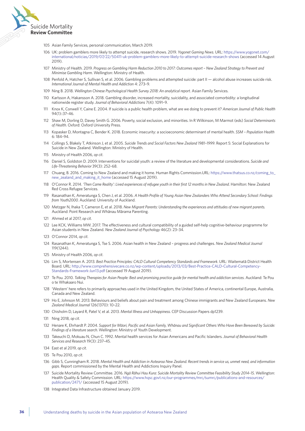

- 105 Asian Family Services, personal communication, March 2019.
- 106 UK: problem gamblers more likely to attempt suicide, research shows. 2019. *Yogonet Gaming News.* URL: [https://www.yogonet.com/](https://www.yogonet.com/international/noticias/2019/07/22/50411-uk-problem-gamblers-more-likely-to-attempt-suicide-research-shows) [international/noticias/2019/07/22/50411-uk-problem-gamblers-more-likely-to-attempt-suicide-research-shows](https://www.yogonet.com/international/noticias/2019/07/22/50411-uk-problem-gamblers-more-likely-to-attempt-suicide-research-shows) (accessed 14 August 2019).
- 107 Ministry of Health. 2019. *Progress on Gambling Harm Reduction 2010 to 2017: Outcomes report New Zealand Strategy to Prevent and Minimise Gambling Harm.* Wellington: Ministry of Health.
- 108 Penfold A, Hatcher S, Sullivan S, et al. 2006. Gambling problems and attempted suicide: part II alcohol abuse increases suicide risk. *International Journal of Mental Health and Addiction* 4: 273–9.
- 109 Ning B. 2018. *Wellington Chinese Psychological Health Survey 2018: An analytical report*. Asian Family Services.
- 110 Karlsson A, Hakansson A. 2018. Gambling disorder, increased mortality, suicidality, and associated comorbidity: a longitudinal nationwide register study. *Journal of Behavioral Addictions* 7(4): 1091–9.
- 111 Knox K, Conwell Y, Caine E. 2004. If suicide is a public health problem, what are we doing to prevent it? *American Journal of Public Health* 94(1)::37–46.
- 112 Shaw M, Dorling D, Davey Smith G. 2006. Poverty, social exclusion, and minorities. In R Wilkinson, M Marmot (eds) *Social Determinants of Health*. Oxford: Oxford University Press.
- 113 Kopasker D, Montagna C, Bender K. 2018. Economic insecurity: a socioeconomic determinant of mental health. *SSM Population Health* 6: 184–94.
- 114 Collings S, Blakely T, Atkinson J, et al. 2005. *Suicide Trends and Social Factors New Zealand 1981–1999*. Report 5: Social Explanations for Suicide in New Zealand. Wellington: Ministry of Health.
- 115 Ministry of Health 2006, *op cit*.
- 116 Daniel S, Goldston D. 2009. Interventions for suicidal youth: a review of the literature and developmental considerations. *Suicide and Life-Threatening Behavior* 39(3): 252–68.
- 117 Chuang, B. 2016. Coming to New Zealand and making it home. Human Rights Commission.URL: [https://www.thatsus.co.nz/coming\\_to\\_](https://www.thatsus.co.nz/coming_to_new_zealand_and_making_it_home) [new\\_zealand\\_and\\_making\\_it\\_home](https://www.thatsus.co.nz/coming_to_new_zealand_and_making_it_home) (accessed 15 August 2019).
- 118 O'Connor R. 2014. *'Then Came Reality': Lived experiences of refugee youth in their first 12 months in New Zealand*. Hamilton: New Zealand Red Cross Refugee Services.
- 119 Rasanathan K, Ameratunga S, Chen J, et al. 2006. *A Health Profile of Young Asian New Zealanders Who Attend Secondary School: Findings from Youth2000.* Auckland: University of Auckland.
- 120 Metzger N, Ihaka T, Cameron E, et al. 2018. *New Migrant Parents: Understanding the experiences and attitudes of new migrant parents.* Auckland: Point Research and Whānau Mārama Parenting.
- 121 Ahmed et al 2017, *op cit*.
- 122 Lee KCK, Williams MW. 2017. The effectiveness and cultural compatibility of a guided self-help cognitive-behaviour programme for Asian students in New Zealand. *New Zealand Journal of Psychology* 46(2): 23–34.
- 123 O'Connor 2014, *op cit*.
- 124 Rasanathan K, Ameratunga S, Tse S. 2006. Asian health in New Zealand progress and challenges. *New Zealand Medical Journal* 119(1244).
- 125 Ministry of Health 2006, *op cit*.
- 126 Lim S, Mortensen A. 2013. *Best Practice Principles: CALD Cultural Competency Standards and Framework*. URL: Waitematā District Health Board. URL: [http://www.comprehensivecare.co.nz/wp-content/uploads/2013/03/Best-Practice-CALD-Cultural-Competency-](http://www.comprehensivecare.co.nz/wp-content/uploads/2013/03/Best-Practice-CALD-Cultural-Competency-Standards-Framework-Jun13.pdf)[Standards-Framework-Jun13.pdf](http://www.comprehensivecare.co.nz/wp-content/uploads/2013/03/Best-Practice-CALD-Cultural-Competency-Standards-Framework-Jun13.pdf) (accessed 19 August 2019).
- 127 Te Pou. 2010. *Talking Therapies for Asian People: Best and promising practice guide for mental health and addiction services*. Auckland: Te Pou o te Whakaaro Nui.
- 128 'Western' here refers to primarily approaches used in the United Kingdom, the United States of America, continental Europe, Australia, Canada and New Zealand.
- 129 Ho E, Johnson M. 2013. Behaviours and beliefs about pain and treatment among Chinese immigrants and New Zealand Europeans. *New Zealand Medical Journal* 126(1370): 10–22.
- 130 Chisholm D, Layard R, Patel V, et al. 2013. *Mental Illness and Unhappiness*. CEP Discussion Papers dp1239.
- 131 Ning 2018, *op cit*.
- 132 Henare K, Ehrhardt P. 2004. *Support for Māori, Pacific and Asian Family, Whānau and Significant Others Who Have Been Bereaved by Suicide: Findings of a literature search.* Wellington: Ministry of Youth Development.
- 133 Takeuchi D, Mokuau N, Chun C. 1992. Mental health services for Asian Americans and Pacific Islanders. *Journal of Behavioral Health Services and Research* 19(3): 237–45.
- 134 East et al 2019, *op cit*.
- 135 Te Pou 2010, *op cit*.
- 136 Gibb S, Cunningham R. 2018. *Mental Health and Addiction in Aotearoa New Zealand. Recent trends in service us, unmet need, and information gaps*. Report commissioned by the Mental Health and Addictions Inquiry Panel.
- 137 Suicide Mortality Review Committee. 2016. *Ngā Rāhui Hau Kura: Suicide Mortality Review Committee Feasibility Study 2014–15*. Wellington: Health Quality & Safety Commission. URL: [https://www.hqsc.govt.nz/our-programmes/mrc/sumrc/publications-and-resources/](https://www.hqsc.govt.nz/our-programmes/mrc/sumrc/publications-and-resources/publication/2471/) [publication/2471/](https://www.hqsc.govt.nz/our-programmes/mrc/sumrc/publications-and-resources/publication/2471/) (accessed 15 August 2019).
- 138 Integrated Data Infrastructure obtained January 2019.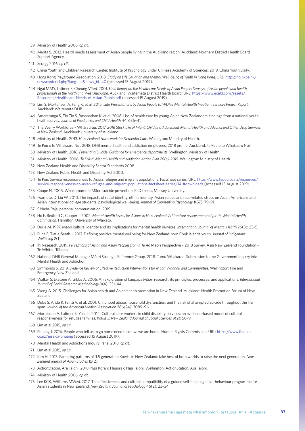- Ministry of Health 2006, *op cit*.
- Mehta S. 2012. Health needs assessment of Asian people living in the Auckland region. Auckland: Northern District Health Board Support Agency.
- Scragg 2016, *op cit*.
- China Youth and Children Research Center, Institute of Psychology under Chinese Academy of Sciences. 2019. China Youth Daily.
- Hong Kong Playground Association. 2018. *Study on Life Situation and Mental Well-being of Youth in Hong Kong*. URL: [http://hq.hkpa.hk/](http://hq.hkpa.hk/newscontent1.php?lang=en&news_id=40) [newscontent1.php?lang=en&news\\_id=40](http://hq.hkpa.hk/newscontent1.php?lang=en&news_id=40) (accessed 15 August 2019).
- Ngai MMY, Latimer S, Cheung VYM. 2001. *Final Report on the Healthcare Needs of Asian People: Surveys of Asian people and health professionals in the North and West Auckland.* Auckland: Waitematā District Health Board. URL: [https://www.ecald.com/assets/](https://www.ecald.com/assets/Resources/Healthcare-Needs-of-Asian-People.pdf) [Resources/Healthcare-Needs-of-Asian-People.pdf](https://www.ecald.com/assets/Resources/Healthcare-Needs-of-Asian-People.pdf) (accessed 15 August 2019).
- Lim S, Mortensen A, Feng K, et al. 2015. *Late Presentations by Asian People to WDHB Mental Health Inpatient Services Project Report*. Auckland: Waitematā DHB.
- Ameratunga S, Tin Tin S, Rasanathan K, et al. 2008. Use of health care by young Asian New Zealanders: findings from a national youth health survey. *Journal of Paediatrics and Child Health* 44: 636–41.
- The Werry Workforce Whāraurau. 2017. *2016 Stocktake of Infant, Child and Adolescent Mental Health and Alcohol and Other Drug Services in New Zealand*. Auckland: University of Auckland.
- Ministry of Health. 2013. *New Zealand Framework for Dementia Care*. Wellington: Ministry of Health.
- Te Pou o te Whakaaro Nui. 2018. DHB mental health and addiction employees: 2018 profile. Auckland: Te Pou o te Whakaaro Nui.
- Ministry of Health. 2016. *Preventing Suicide: Guidance for emergency departments*. Wellington: Ministry of Health.
- Ministry of Health. 2006. *Te Kōkiri: Mental Health and Addiction Action Plan 2006–2015*. Wellington: Ministry of Health.
- New Zealand Health and Disability Sector Standards 2008.
- New Zealand Public Health and Disability Act 2000.
- Te Pou. Service responsiveness to Asian, refugee and migrant populations: Factsheet series. URL: [https://www.tepou.co.nz/resources/](https://www.tepou.co.nz/resources/service-responsiveness-to-asian-refugee-and-migrant-populations-factsheet-series/141#downloads) [service-responsiveness-to-asian-refugee-and-migrant-populations-factsheet-series/141#downloads](https://www.tepou.co.nz/resources/service-responsiveness-to-asian-refugee-and-migrant-populations-factsheet-series/141#downloads) (accessed 15 August 2019).
- Coupe N. 2005. Whakamomori: Māori suicide prevention. PhD thesis, Massey University.
- Iwamoto, D, Liu W. 2010. The impacts of racial identity, ethnic identity, Asian values and race-related stress on Asian Americans and Asian international college students' psychological well-being. *Journal of Counselling Psychology* 1(57): 79–91.
- S Nada-Raja, personal communication, 2019.
- Ho E, Bedford C, Cooper J. 2002. *Mental Health Issues for Asians in New Zealand: A literature review prepared for the Mental Health Commission*. Hamilton: University of Waikato.
- Durie M. 1997. Māori cultural identity and its implications for mental health services. *International Journal of Mental Health* 26(3): 23–5.
- Puna E, Tiatia-Seath J. 2017. Defining positive mental wellbeing for New Zealand-born Cook Islands youth. *Journal of Indigenous Wellbeing* 2(1).
- Ihi Research. 2019. *Perceptions of Asian and Asian Peoples from a Te Ao* Māori Perspective 2018 Survey. Asia New Zealand Foundation Te Whītau Tūhono.
- National DHB General Manager Māori Strategic Reference Group. 2018. Tumu Whakarae. Submission to the Government Inquiry into Mental Health and Addiction.
- Simmonds S. 2019. *Evidence Review of Effective Reduction Interventions for Māori Whānau and Communities*. Wellington: Fire and Emergency New Zealand.
- Walker S, Eketone A, Gibbs A. 2006. An exploration of kaupapa Māori research, its principles, processes, and applications. *International Journal of Social Research Methodology* 9(4). 331–44.
- Wong A. 2015. Challenges for Asian health and Asian health promotion in New Zealand. Auckland: Health Promotion Forum of New Zealand.
- Dube S, Anda R, Felitti V, et al. 2001. Childhood abuse, household dysfunction, and the risk of attempted suicide throughout the life span. *Journal of the American Medical Association* 286(24): 3089–96.
- Mortensen A, Latimer S, Yusuf I. 2014. Cultural case workers in child disability services: an evidence-based model of cultural responsiveness for refugee families. *Kotuitui: New Zealand Journal of Social Sciences* 9(2): 50–9.
- Lim et al 2015, *op cit*.
- Phuang J. 2016. People who tell us to go home need to know: we are home. Human Rights Commission. URL: [https://www.thatsus.](https://www.thatsus.co.nz/jessica-phuang) [co.nz/jessica-phuang](https://www.thatsus.co.nz/jessica-phuang) (accessed 15 August 2019).
- Mental Health and Addictions Inquiry Panel 2018, *op cit*.
- Lim et al 2015, *op cit*.
- Kim H. 2013. Parenting patterns of '1.5 generation Kowis' in New Zealand: take best of both worlds to raise the next generation. *New Zealand Journal of Asian Studies* 15(2).
- ActionStation, Ara Taiohi. 2018. Ngā Kōrero Hauora o Ngā Taiohi. Wellington: ActionStation, Ara Taiohi.
- Ministry of Health 2006, *op cit*.
- Lee KCK, Williams MWM. 2017. The effectiveness and cultural compatibility of a guided self-help cognitive-behaviour programme for Asian students in New Zealand. *New Zealand Journal of Psychology* 46(2): 23–34.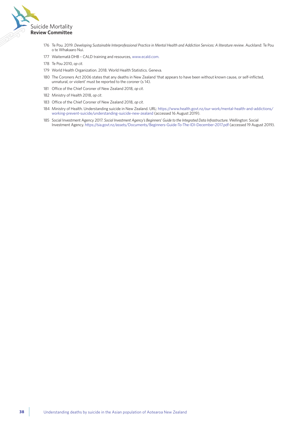

- Te Pou. 2019. *Developing Sustainable Interprofessional Practice in Mental Health and Addiction Services: A literature review*. Auckland: Te Pou o te Whakaaro Nui.
- Waitematā DHB CALD training and resources, [www.ecald.com.](http://www.ecald.com)
- Te Pou 2010, *op cit*.
- World Health Organization. 2018. World Health Statistics. Geneva.
- The Coroners Act 2006 states that any deaths in New Zealand 'that appears to have been without known cause, or self-inflicted, unnatural, or violent' must be reported to the coroner (s 14).
- Office of the Chief Coroner of New Zealand 2018, *op cit*.
- Ministry of Health 2018, *op cit*.
- Office of the Chief Coroner of New Zealand 2018, *op cit*.
- Ministry of Health. Understanding suicide in New Zealand. URL: [https://www.health.govt.nz/our-work/mental-health-and-addictions/](https://www.health.govt.nz/our-work/mental-health-and-addictions/working-prevent-suicide/understanding-suicide-new-zealand) [working-prevent-suicide/understanding-suicide-new-zealand](https://www.health.govt.nz/our-work/mental-health-and-addictions/working-prevent-suicide/understanding-suicide-new-zealand) (accessed 16 August 2019).
- Social Investment Agency 2017. *Social Investment Agency's Beginners' Guide to the Integrated Data Infrastructure.* Wellington: Social Investment Agency. <https://sia.govt.nz/assets/Documents/Beginners-Guide-To-The-IDI-December-2017.pdf>(accessed 19 August 2019).